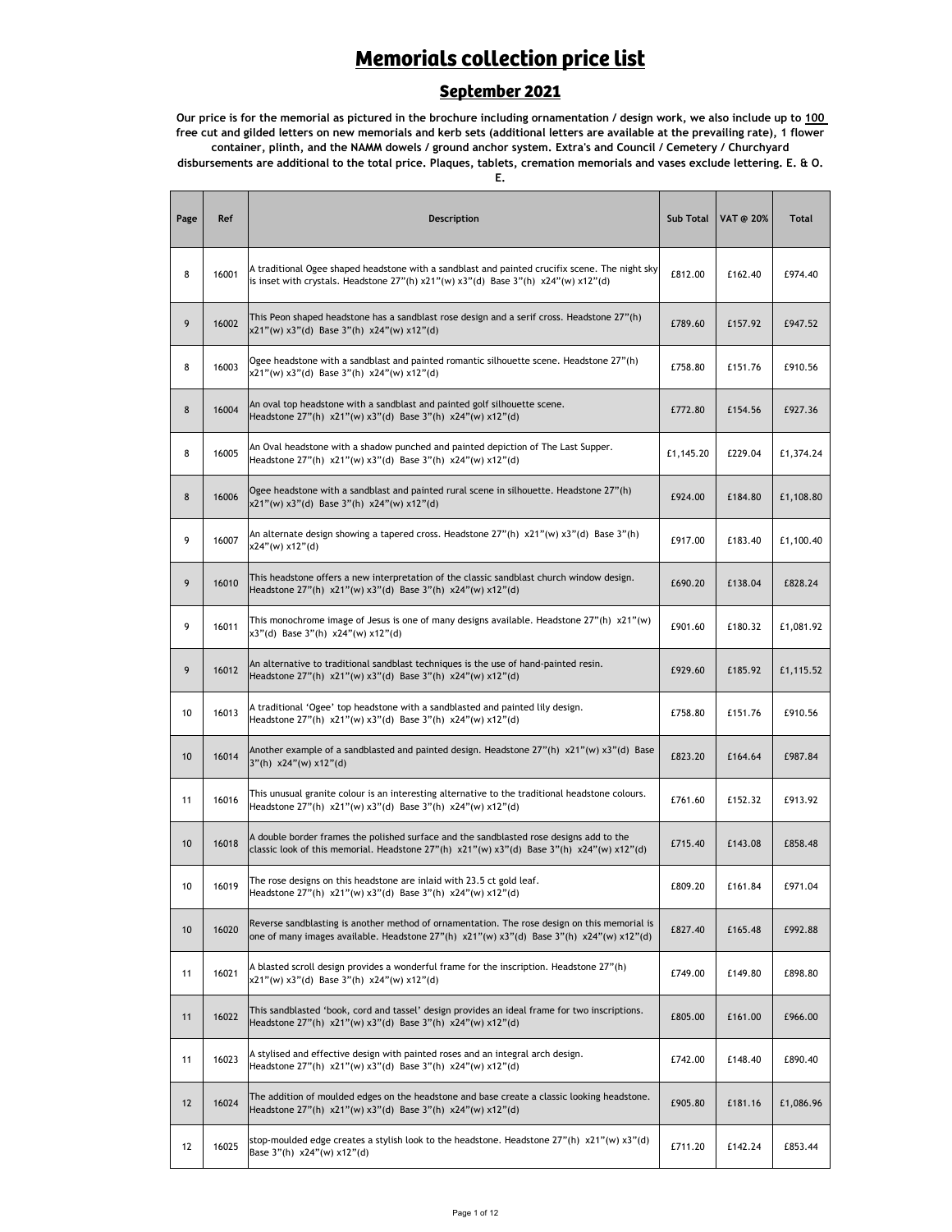#### **Memorials collection price list**

#### **September 2021**

**Our price is for the memorial as pictured in the brochure including ornamentation / design work, we also include up to 100 free cut and gilded letters on new memorials and kerb sets (additional letters are available at the prevailing rate), 1 flower container, plinth, and the NAMM dowels / ground anchor system. Extra's and Council / Cemetery / Churchyard disbursements are additional to the total price. Plaques, tablets, cremation memorials and vases exclude lettering. E. & O.** 

**E.**

| Page | Ref   | Description                                                                                                                                                                                                            | <b>Sub Total</b> | VAT @ 20% | <b>Total</b> |
|------|-------|------------------------------------------------------------------------------------------------------------------------------------------------------------------------------------------------------------------------|------------------|-----------|--------------|
| 8    | 16001 | A traditional Ogee shaped headstone with a sandblast and painted crucifix scene. The night sky<br>is inset with crystals. Headstone $27''(h) \times 21''(w) \times 3''(d)$ Base $3''(h) \times 24''(w) \times 12''(d)$ | £812.00          | £162.40   | £974.40      |
| 9    | 16002 | This Peon shaped headstone has a sandblast rose design and a serif cross. Headstone 27"(h)<br>$x21''(w) x3''(d)$ Base 3"(h) $x24''(w) x12''(d)$                                                                        | £789.60          | £157.92   | £947.52      |
| 8    | 16003 | Ogee headstone with a sandblast and painted romantic silhouette scene. Headstone 27"(h)<br>x21"(w) x3"(d) Base 3"(h) x24"(w) x12"(d)                                                                                   | £758.80          | £151.76   | £910.56      |
| 8    | 16004 | An oval top headstone with a sandblast and painted golf silhouette scene.<br>Headstone 27"(h) x21"(w) x3"(d) Base 3"(h) x24"(w) x12"(d)                                                                                | £772.80          | £154.56   | £927.36      |
| 8    | 16005 | An Oval headstone with a shadow punched and painted depiction of The Last Supper.<br>Headstone 27"(h) x21"(w) x3"(d) Base 3"(h) x24"(w) x12"(d)                                                                        | £1,145.20        | £229.04   | £1,374.24    |
| 8    | 16006 | Ogee headstone with a sandblast and painted rural scene in silhouette. Headstone 27"(h)<br>x21"(w) x3"(d) Base 3"(h) x24"(w) x12"(d)                                                                                   | £924.00          | £184.80   | £1,108.80    |
| 9    | 16007 | An alternate design showing a tapered cross. Headstone 27"(h) x21"(w) x3"(d) Base 3"(h)<br>x24"(w) x12"(d)                                                                                                             | £917.00          | £183.40   | £1,100.40    |
| 9    | 16010 | This headstone offers a new interpretation of the classic sandblast church window design.<br>Headstone 27"(h) x21"(w) x3"(d) Base 3"(h) x24"(w) x12"(d)                                                                | £690.20          | £138.04   | £828.24      |
| 9    | 16011 | This monochrome image of Jesus is one of many designs available. Headstone $27''(h) \times 21''(w)$<br>x3"(d) Base 3"(h) x24"(w) x12"(d)                                                                               | £901.60          | £180.32   | £1,081.92    |
| 9    | 16012 | An alternative to traditional sandblast techniques is the use of hand-painted resin.<br>Headstone 27"(h) x21"(w) x3"(d) Base 3"(h) x24"(w) x12"(d)                                                                     | £929.60          | £185.92   | £1,115.52    |
| 10   | 16013 | A traditional 'Ogee' top headstone with a sandblasted and painted lily design.<br>Headstone 27"(h) x21"(w) x3"(d) Base 3"(h) x24"(w) x12"(d)                                                                           | £758.80          | £151.76   | £910.56      |
| 10   | 16014 | Another example of a sandblasted and painted design. Headstone 27"(h) x21"(w) x3"(d) Base<br>$3''(h)$ x24"(w) x12"(d)                                                                                                  | £823.20          | £164.64   | £987.84      |
| 11   | 16016 | This unusual granite colour is an interesting alternative to the traditional headstone colours.<br>Headstone 27"(h) x21"(w) x3"(d) Base 3"(h) x24"(w) x12"(d)                                                          | £761.60          | £152.32   | £913.92      |
| 10   | 16018 | A double border frames the polished surface and the sandblasted rose designs add to the<br>classic look of this memorial. Headstone $27''(h) \times 21''(w) \times 3''(d)$ Base $3''(h) \times 24''(w) \times 12''(d)$ | £715.40          | £143.08   | £858.48      |
| 10   | 16019 | The rose designs on this headstone are inlaid with 23.5 ct gold leaf.<br>Headstone 27"(h) x21"(w) x3"(d) Base 3"(h) x24"(w) x12"(d)                                                                                    | £809.20          | £161.84   | £971.04      |
| 10   | 16020 | Reverse sandblasting is another method of ornamentation. The rose design on this memorial is<br>one of many images available. Headstone 27"(h) x21"(w) x3"(d) Base 3"(h) x24"(w) x12"(d)                               | £827.40          | £165.48   | £992.88      |
| 11   | 16021 | A blasted scroll design provides a wonderful frame for the inscription. Headstone 27"(h)<br>x21"(w) x3"(d) Base 3"(h) x24"(w) x12"(d)                                                                                  | £749.00          | £149.80   | £898.80      |
| 11   | 16022 | This sandblasted 'book, cord and tassel' design provides an ideal frame for two inscriptions.<br>Headstone 27"(h) x21"(w) x3"(d) Base 3"(h) x24"(w) x12"(d)                                                            | £805.00          | £161.00   | £966.00      |
| 11   | 16023 | A stylised and effective design with painted roses and an integral arch design.<br>Headstone 27"(h) x21"(w) x3"(d) Base 3"(h) x24"(w) x12"(d)                                                                          | £742.00          | £148.40   | £890.40      |
| 12   | 16024 | The addition of moulded edges on the headstone and base create a classic looking headstone.<br>Headstone 27"(h) x21"(w) x3"(d) Base 3"(h) x24"(w) x12"(d)                                                              | £905.80          | £181.16   | £1,086.96    |
| 12   | 16025 | stop-moulded edge creates a stylish look to the headstone. Headstone $27''(h) \times 21''(w) \times 3''(d)$<br>Base 3"(h) x24"(w) x12"(d)                                                                              | £711.20          | £142.24   | £853.44      |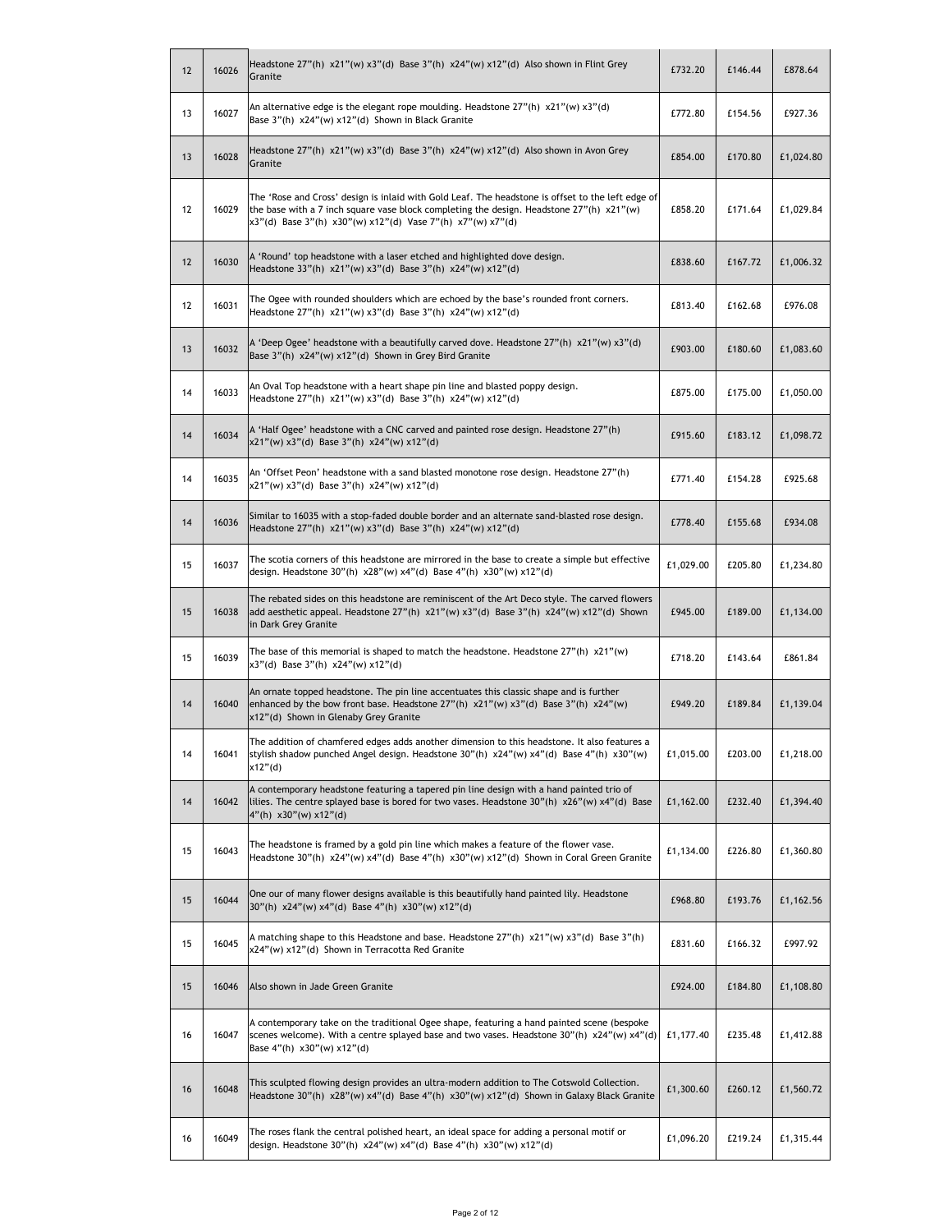| 12 | 16026 | Headstone $27''(h) \times 21''(w) \times 3''(d)$ Base $3''(h) \times 24''(w) \times 12''(d)$ Also shown in Flint Grey<br>Granite                                                                                                                                      | £732.20   | £146.44 | £878.64   |
|----|-------|-----------------------------------------------------------------------------------------------------------------------------------------------------------------------------------------------------------------------------------------------------------------------|-----------|---------|-----------|
| 13 | 16027 | An alternative edge is the elegant rope moulding. Headstone 27"(h) x21"(w) x3"(d)<br>Base 3"(h) x24"(w) x12"(d) Shown in Black Granite                                                                                                                                | £772.80   | £154.56 | £927.36   |
| 13 | 16028 | Headstone $27''(h) \times 21''(w) \times 3''(d)$ Base $3''(h) \times 24''(w) \times 12''(d)$ Also shown in Avon Grey<br>Granite                                                                                                                                       | £854.00   | £170.80 | £1,024.80 |
| 12 | 16029 | The 'Rose and Cross' design is inlaid with Gold Leaf. The headstone is offset to the left edge of<br>the base with a 7 inch square vase block completing the design. Headstone $27''(h) \times 21''(w)$<br>x3"(d) Base 3"(h) x30"(w) x12"(d) Vase 7"(h) x7"(w) x7"(d) | £858.20   | £171.64 | £1,029.84 |
| 12 | 16030 | A 'Round' top headstone with a laser etched and highlighted dove design.<br>Headstone 33"(h) x21"(w) x3"(d) Base 3"(h) x24"(w) x12"(d)                                                                                                                                | £838.60   | £167.72 | £1,006.32 |
| 12 | 16031 | The Ogee with rounded shoulders which are echoed by the base's rounded front corners.<br>Headstone 27"(h) x21"(w) x3"(d) Base 3"(h) x24"(w) x12"(d)                                                                                                                   | £813.40   | £162.68 | £976.08   |
| 13 | 16032 | A 'Deep Ogee' headstone with a beautifully carved dove. Headstone 27"(h) x21"(w) x3"(d)<br>Base 3"(h) x24"(w) x12"(d) Shown in Grey Bird Granite                                                                                                                      | £903.00   | £180.60 | £1,083.60 |
| 14 | 16033 | An Oval Top headstone with a heart shape pin line and blasted poppy design.<br>Headstone 27"(h) x21"(w) x3"(d) Base 3"(h) x24"(w) x12"(d)                                                                                                                             | £875.00   | £175.00 | £1,050.00 |
| 14 | 16034 | A 'Half Ogee' headstone with a CNC carved and painted rose design. Headstone 27"(h)<br>x21"(w) x3"(d) Base 3"(h) x24"(w) x12"(d)                                                                                                                                      | £915.60   | £183.12 | £1,098.72 |
| 14 | 16035 | An 'Offset Peon' headstone with a sand blasted monotone rose design. Headstone 27"(h)<br>x21"(w) x3"(d) Base 3"(h) x24"(w) x12"(d)                                                                                                                                    | £771.40   | £154.28 | £925.68   |
| 14 | 16036 | Similar to 16035 with a stop-faded double border and an alternate sand-blasted rose design.<br>Headstone $27''(h) \times 21''(w) \times 3''(d)$ Base 3"(h) $x24''(w) \times 12''(d)$                                                                                  | £778.40   | £155.68 | £934.08   |
| 15 | 16037 | The scotia corners of this headstone are mirrored in the base to create a simple but effective<br>design. Headstone 30"(h) x28"(w) x4"(d) Base 4"(h) x30"(w) x12"(d)                                                                                                  | £1,029.00 | £205.80 | £1,234.80 |
| 15 | 16038 | The rebated sides on this headstone are reminiscent of the Art Deco style. The carved flowers<br>add aesthetic appeal. Headstone 27"(h) x21"(w) x3"(d) Base 3"(h) x24"(w) x12"(d) Shown<br>in Dark Grey Granite                                                       | £945.00   | £189.00 | £1,134.00 |
| 15 | 16039 | The base of this memorial is shaped to match the headstone. Headstone $27"(h) \times 21"(w)$<br>x3"(d) Base 3"(h) x24"(w) x12"(d)                                                                                                                                     | £718.20   | £143.64 | £861.84   |
| 14 | 16040 | An ornate topped headstone. The pin line accentuates this classic shape and is further<br>enhanced by the bow front base. Headstone $27''(h) \times 21''(w) \times 3''(d)$ Base $3''(h) \times 24''(w)$<br>x12"(d) Shown in Glenaby Grey Granite                      | £949.20   | £189.84 | £1,139.04 |
| 14 | 16041 | The addition of chamfered edges adds another dimension to this headstone. It also features a<br>stylish shadow punched Angel design. Headstone $30''(h) \times 24''(w) \times 4''(d)$ Base $4''(h) \times 30''(w)$<br>x12"(d)                                         | £1,015.00 | £203.00 | £1,218.00 |
| 14 | 16042 | A contemporary headstone featuring a tapered pin line design with a hand painted trio of<br>lilies. The centre splayed base is bored for two vases. Headstone 30"(h) x26"(w) x4"(d) Base<br>$4"$ (h) x30"(w) x12"(d)                                                  | £1,162.00 | £232.40 | £1,394.40 |
| 15 | 16043 | The headstone is framed by a gold pin line which makes a feature of the flower vase.<br>Headstone 30"(h) x24"(w) x4"(d) Base 4"(h) x30"(w) x12"(d) Shown in Coral Green Granite                                                                                       | £1,134.00 | £226.80 | £1,360.80 |
| 15 | 16044 | One our of many flower designs available is this beautifully hand painted lily. Headstone<br>30"(h) x24"(w) x4"(d) Base 4"(h) x30"(w) x12"(d)                                                                                                                         | £968.80   | £193.76 | £1,162.56 |
| 15 | 16045 | A matching shape to this Headstone and base. Headstone 27"(h) x21"(w) x3"(d) Base 3"(h)<br>x24"(w) x12"(d) Shown in Terracotta Red Granite                                                                                                                            | £831.60   | £166.32 | £997.92   |
| 15 | 16046 | Also shown in Jade Green Granite                                                                                                                                                                                                                                      | £924.00   | £184.80 | £1,108.80 |
| 16 | 16047 | A contemporary take on the traditional Ogee shape, featuring a hand painted scene (bespoke<br>scenes welcome). With a centre splayed base and two vases. Headstone 30"(h) x24"(w) x4"(d)<br>Base $4''(h) \times 30''(w) \times 12''(d)$                               | £1,177.40 | £235.48 | £1,412.88 |
| 16 | 16048 | This sculpted flowing design provides an ultra-modern addition to The Cotswold Collection.<br>Headstone 30"(h) x28"(w) x4"(d) Base 4"(h) x30"(w) x12"(d) Shown in Galaxy Black Granite                                                                                | £1,300.60 | £260.12 | £1,560.72 |
| 16 | 16049 | The roses flank the central polished heart, an ideal space for adding a personal motif or<br>design. Headstone 30"(h) x24"(w) x4"(d) Base 4"(h) x30"(w) x12"(d)                                                                                                       | £1,096.20 | £219.24 | £1,315.44 |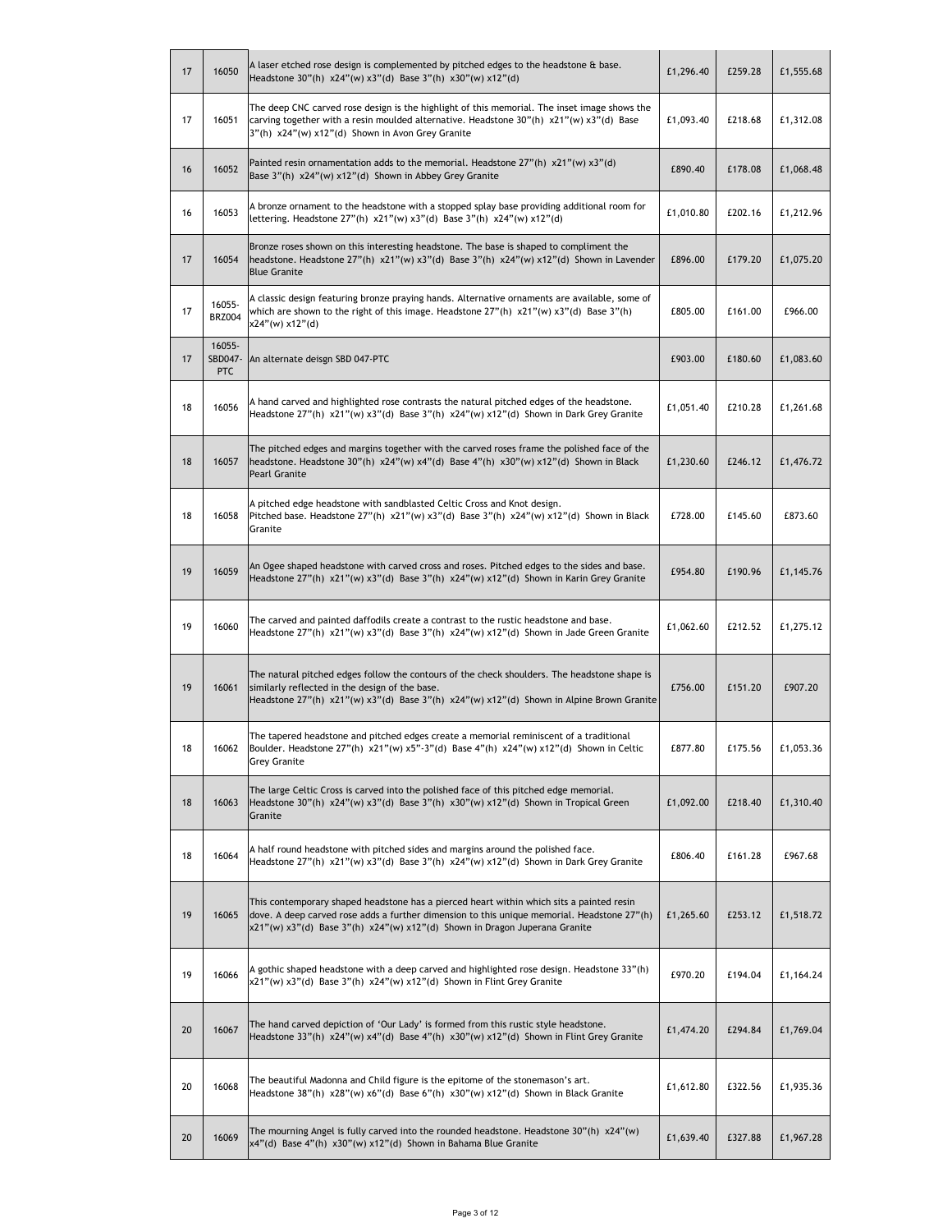| 17 | 16050                           | A laser etched rose design is complemented by pitched edges to the headstone & base.<br>Headstone 30"(h) x24"(w) x3"(d) Base 3"(h) x30"(w) x12"(d)                                                                                                                    | £1,296.40 | £259.28 | £1,555.68 |
|----|---------------------------------|-----------------------------------------------------------------------------------------------------------------------------------------------------------------------------------------------------------------------------------------------------------------------|-----------|---------|-----------|
| 17 | 16051                           | The deep CNC carved rose design is the highlight of this memorial. The inset image shows the<br>carving together with a resin moulded alternative. Headstone 30"(h) x21"(w) x3"(d) Base<br>3"(h) x24"(w) x12"(d) Shown in Avon Grey Granite                           | £1,093.40 | £218.68 | £1,312.08 |
| 16 | 16052                           | Painted resin ornamentation adds to the memorial. Headstone $27''(h) \times 21''(w) \times 3''(d)$<br>Base 3"(h) x24"(w) x12"(d) Shown in Abbey Grey Granite                                                                                                          | £890.40   | £178.08 | £1,068.48 |
| 16 | 16053                           | A bronze ornament to the headstone with a stopped splay base providing additional room for<br>lettering. Headstone $27''(h)$ x21"(w) x3"(d) Base 3"(h) x24"(w) x12"(d)                                                                                                | £1,010.80 | £202.16 | £1,212.96 |
| 17 | 16054                           | Bronze roses shown on this interesting headstone. The base is shaped to compliment the<br>headstone. Headstone $27''(h) \times 21''(w) \times 3''(d)$ Base $3''(h) \times 24''(w) \times 12''(d)$ Shown in Lavender<br><b>Blue Granite</b>                            | £896.00   | £179.20 | £1,075.20 |
| 17 | 16055-<br><b>BRZ004</b>         | A classic design featuring bronze praying hands. Alternative ornaments are available, some of<br>which are shown to the right of this image. Headstone $27''(h) \times 21''(w) \times 3''(d)$ Base 3"(h)<br>x24"(w) x12"(d)                                           | £805.00   | £161.00 | £966.00   |
| 17 | 16055-<br>SBD047-<br><b>PTC</b> | An alternate deisgn SBD 047-PTC                                                                                                                                                                                                                                       | £903.00   | £180.60 | £1,083.60 |
| 18 | 16056                           | A hand carved and highlighted rose contrasts the natural pitched edges of the headstone.<br>Headstone 27"(h) x21"(w) x3"(d) Base 3"(h) x24"(w) x12"(d) Shown in Dark Grey Granite                                                                                     | £1,051.40 | £210.28 | £1,261.68 |
| 18 | 16057                           | The pitched edges and margins together with the carved roses frame the polished face of the<br>headstone. Headstone 30"(h) x24"(w) x4"(d) Base 4"(h) x30"(w) x12"(d) Shown in Black<br><b>Pearl Granite</b>                                                           | £1,230.60 | £246.12 | £1,476.72 |
| 18 | 16058                           | A pitched edge headstone with sandblasted Celtic Cross and Knot design.<br>Pitched base. Headstone 27"(h) $x21"$ (w) $x3"$ (d) Base 3"(h) $x24"$ (w) $x12"$ (d) Shown in Black<br>Granite                                                                             | £728.00   | £145.60 | £873.60   |
| 19 | 16059                           | An Ogee shaped headstone with carved cross and roses. Pitched edges to the sides and base.<br>Headstone 27"(h) x21"(w) x3"(d) Base 3"(h) x24"(w) x12"(d) Shown in Karin Grey Granite                                                                                  | £954.80   | £190.96 | £1,145.76 |
| 19 | 16060                           | The carved and painted daffodils create a contrast to the rustic headstone and base.<br>Headstone $27''(h)$ x21"(w) x3"(d) Base 3"(h) x24"(w) x12"(d) Shown in Jade Green Granite                                                                                     | £1,062.60 | £212.52 | £1,275.12 |
| 19 | 16061                           | The natural pitched edges follow the contours of the check shoulders. The headstone shape is<br>similarly reflected in the design of the base.<br>Headstone $27''(h)$ x21"(w) x3"(d) Base 3"(h) x24"(w) x12"(d) Shown in Alpine Brown Granite                         | £756.00   | £151.20 | £907.20   |
| 18 | 16062                           | The tapered headstone and pitched edges create a memorial reminiscent of a traditional<br>Boulder. Headstone 27"(h) x21"(w) x5"-3"(d) Base 4"(h) x24"(w) x12"(d) Shown in Celtic<br><b>Grey Granite</b>                                                               | £877.80   | £175.56 | £1,053.36 |
| 18 | 16063                           | The large Celtic Cross is carved into the polished face of this pitched edge memorial.<br>Headstone 30"(h) $x24" (w) x3" (d)$ Base 3"(h) $x30" (w) x12" (d)$ Shown in Tropical Green<br>Granite                                                                       | £1,092.00 | £218.40 | £1,310.40 |
| 18 | 16064                           | A half round headstone with pitched sides and margins around the polished face.<br>Headstone 27"(h) x21"(w) x3"(d) Base 3"(h) x24"(w) x12"(d) Shown in Dark Grey Granite                                                                                              | £806.40   | £161.28 | £967.68   |
| 19 | 16065                           | This contemporary shaped headstone has a pierced heart within which sits a painted resin<br>dove. A deep carved rose adds a further dimension to this unique memorial. Headstone 27"(h)<br>x21"(w) x3"(d) Base 3"(h) x24"(w) x12"(d) Shown in Dragon Juperana Granite | £1,265.60 | £253.12 | £1,518.72 |
| 19 | 16066                           | A gothic shaped headstone with a deep carved and highlighted rose design. Headstone 33"(h)<br>x21"(w) x3"(d) Base 3"(h) x24"(w) x12"(d) Shown in Flint Grey Granite                                                                                                   | £970.20   | £194.04 | £1,164.24 |
| 20 | 16067                           | The hand carved depiction of 'Our Lady' is formed from this rustic style headstone.<br>Headstone 33"(h) x24"(w) x4"(d) Base 4"(h) x30"(w) x12"(d) Shown in Flint Grey Granite                                                                                         | £1,474.20 | £294.84 | £1,769.04 |
| 20 | 16068                           | The beautiful Madonna and Child figure is the epitome of the stonemason's art.<br>Headstone 38"(h) $x28''(w) x6''(d)$ Base 6"(h) $x30''(w) x12''(d)$ Shown in Black Granite                                                                                           | £1,612.80 | £322.56 | £1,935.36 |
| 20 | 16069                           | The mourning Angel is fully carved into the rounded headstone. Headstone $30''(h) \times 24''(w)$<br>x4"(d) Base 4"(h) x30"(w) x12"(d) Shown in Bahama Blue Granite                                                                                                   | £1,639.40 | £327.88 | £1,967.28 |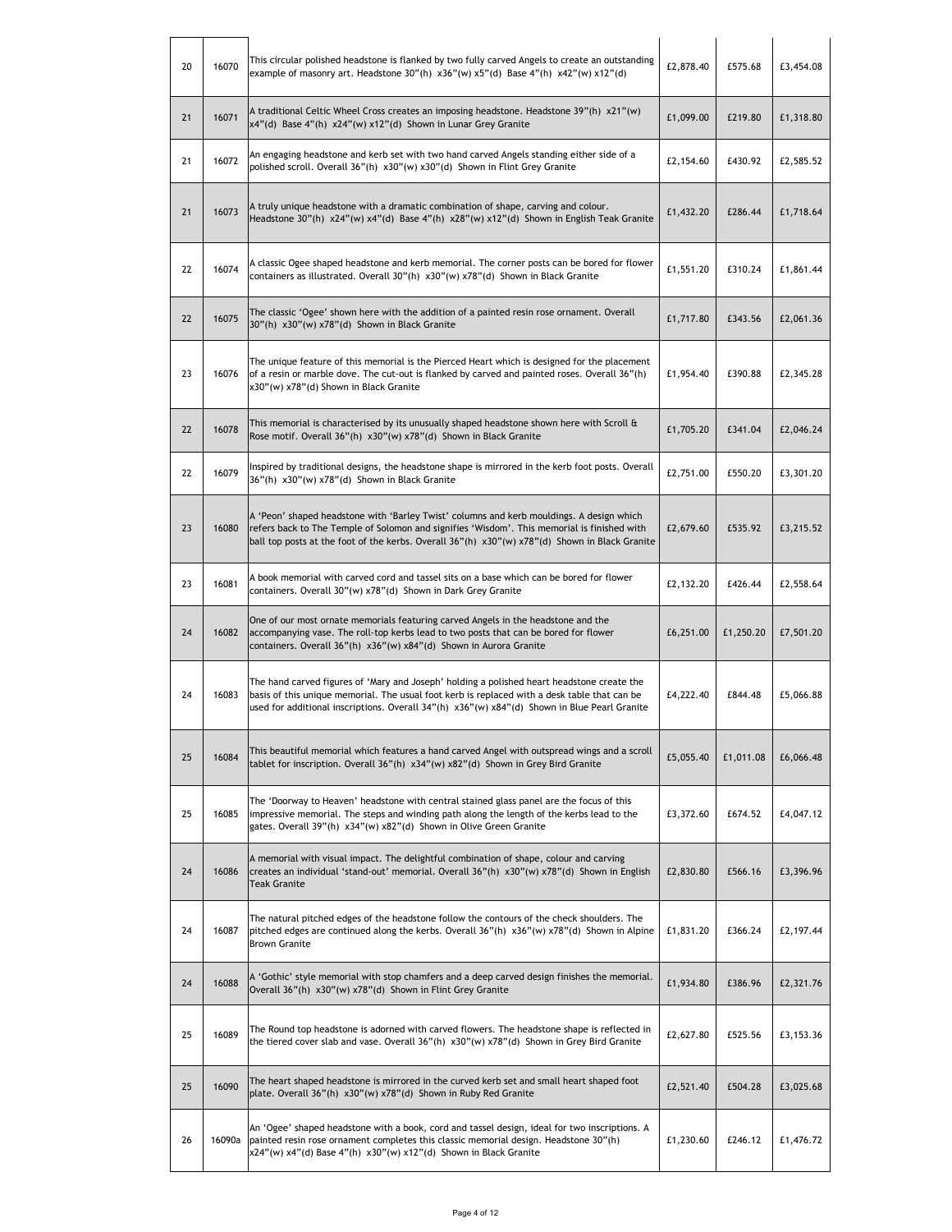| 20 | 16070  | This circular polished headstone is flanked by two fully carved Angels to create an outstanding<br>example of masonry art. Headstone $30''(h) \times 36''(w) \times 5''(d)$ Base $4''(h) \times 42''(w) \times 12''(d)$                                                                    | £2,878.40 | £575.68   | £3,454.08 |
|----|--------|--------------------------------------------------------------------------------------------------------------------------------------------------------------------------------------------------------------------------------------------------------------------------------------------|-----------|-----------|-----------|
| 21 | 16071  | A traditional Celtic Wheel Cross creates an imposing headstone. Headstone 39"(h) x21"(w)<br>x4"(d) Base 4"(h) x24"(w) x12"(d) Shown in Lunar Grey Granite                                                                                                                                  | £1,099.00 | £219.80   | £1,318.80 |
| 21 | 16072  | An engaging headstone and kerb set with two hand carved Angels standing either side of a<br>polished scroll. Overall 36"(h) x30"(w) x30"(d) Shown in Flint Grey Granite                                                                                                                    | £2,154.60 | £430.92   | £2,585.52 |
| 21 | 16073  | A truly unique headstone with a dramatic combination of shape, carving and colour.<br>Headstone 30"(h) x24"(w) x4"(d) Base 4"(h) x28"(w) x12"(d) Shown in English Teak Granite                                                                                                             | £1,432.20 | £286.44   | £1,718.64 |
| 22 | 16074  | A classic Ogee shaped headstone and kerb memorial. The corner posts can be bored for flower<br>containers as illustrated. Overall 30"(h) x30"(w) x78"(d) Shown in Black Granite                                                                                                            | £1,551.20 | £310.24   | £1,861.44 |
| 22 | 16075  | The classic 'Ogee' shown here with the addition of a painted resin rose ornament. Overall<br>30"(h) x30"(w) x78"(d) Shown in Black Granite                                                                                                                                                 | £1,717.80 | £343.56   | £2,061.36 |
| 23 | 16076  | The unique feature of this memorial is the Pierced Heart which is designed for the placement<br>of a resin or marble dove. The cut-out is flanked by carved and painted roses. Overall 36"(h)<br>x30"(w) x78"(d) Shown in Black Granite                                                    | £1,954.40 | £390.88   | £2,345.28 |
| 22 | 16078  | This memorial is characterised by its unusually shaped headstone shown here with Scroll &<br>Rose motif. Overall 36"(h) x30"(w) x78"(d) Shown in Black Granite                                                                                                                             | £1,705.20 | £341.04   | £2,046.24 |
| 22 | 16079  | Inspired by traditional designs, the headstone shape is mirrored in the kerb foot posts. Overall<br>36"(h) x30"(w) x78"(d) Shown in Black Granite                                                                                                                                          | £2,751.00 | £550.20   | £3,301.20 |
| 23 | 16080  | A 'Peon' shaped headstone with 'Barley Twist' columns and kerb mouldings. A design which<br>refers back to The Temple of Solomon and signifies 'Wisdom'. This memorial is finished with<br>ball top posts at the foot of the kerbs. Overall 36"(h) x30"(w) x78"(d) Shown in Black Granite  | £2,679.60 | £535.92   | £3,215.52 |
| 23 | 16081  | A book memorial with carved cord and tassel sits on a base which can be bored for flower<br>containers. Overall 30"(w) x78"(d) Shown in Dark Grey Granite                                                                                                                                  | £2,132.20 | £426.44   | £2,558.64 |
| 24 | 16082  | One of our most ornate memorials featuring carved Angels in the headstone and the<br>accompanying vase. The roll-top kerbs lead to two posts that can be bored for flower<br>containers. Overall 36"(h) x36"(w) x84"(d) Shown in Aurora Granite                                            | £6,251.00 | £1,250.20 | £7,501.20 |
| 24 | 16083  | The hand carved figures of 'Mary and Joseph' holding a polished heart headstone create the<br>basis of this unique memorial. The usual foot kerb is replaced with a desk table that can be<br>used for additional inscriptions. Overall 34"(h) x36"(w) x84"(d) Shown in Blue Pearl Granite | £4,222.40 | £844.48   | £5,066.88 |
| 25 | 16084  | This beautiful memorial which features a hand carved Angel with outspread wings and a scroll<br>tablet for inscription. Overall 36"(h) x34"(w) x82"(d) Shown in Grey Bird Granite                                                                                                          | £5,055.40 | £1,011.08 | £6,066.48 |
| 25 | 16085  | The 'Doorway to Heaven' headstone with central stained glass panel are the focus of this<br>impressive memorial. The steps and winding path along the length of the kerbs lead to the<br>gates. Overall 39"(h) x34"(w) x82"(d) Shown in Olive Green Granite                                | £3,372.60 | £674.52   | £4,047.12 |
| 24 | 16086  | A memorial with visual impact. The delightful combination of shape, colour and carving<br>creates an individual 'stand-out' memorial. Overall 36"(h) x30"(w) x78"(d) Shown in English<br><b>Teak Granite</b>                                                                               | £2,830.80 | £566.16   | £3,396.96 |
| 24 | 16087  | The natural pitched edges of the headstone follow the contours of the check shoulders. The<br>pitched edges are continued along the kerbs. Overall 36"(h) x36"(w) x78"(d) Shown in Alpine<br><b>Brown Granite</b>                                                                          | £1,831.20 | £366.24   | £2,197.44 |
| 24 | 16088  | A 'Gothic' style memorial with stop chamfers and a deep carved design finishes the memorial.<br>Overall 36"(h) x30"(w) x78"(d) Shown in Flint Grey Granite                                                                                                                                 | £1,934.80 | £386.96   | £2,321.76 |
| 25 | 16089  | The Round top headstone is adorned with carved flowers. The headstone shape is reflected in<br>the tiered cover slab and vase. Overall 36"(h) x30"(w) x78"(d) Shown in Grey Bird Granite                                                                                                   | £2,627.80 | £525.56   | £3,153.36 |
| 25 | 16090  | The heart shaped headstone is mirrored in the curved kerb set and small heart shaped foot<br>plate. Overall 36"(h) x30"(w) x78"(d) Shown in Ruby Red Granite                                                                                                                               | £2,521.40 | £504.28   | £3,025.68 |
| 26 | 16090a | An 'Ogee' shaped headstone with a book, cord and tassel design, ideal for two inscriptions. A<br>painted resin rose ornament completes this classic memorial design. Headstone 30"(h)<br>x24"(w) x4"(d) Base 4"(h) x30"(w) x12"(d) Shown in Black Granite                                  | £1,230.60 | £246.12   | £1,476.72 |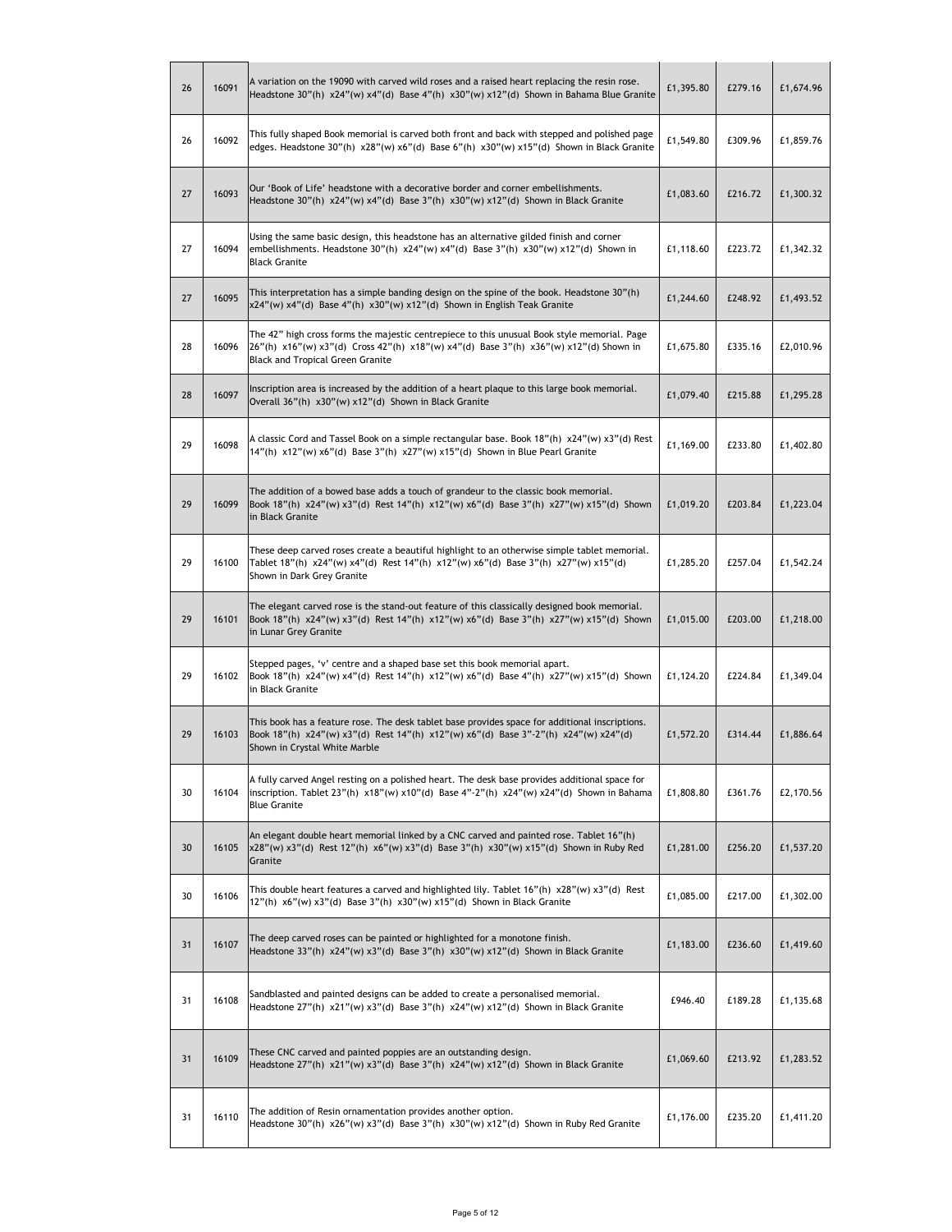| 26 | 16091 | A variation on the 19090 with carved wild roses and a raised heart replacing the resin rose.<br>Headstone 30"(h) x24"(w) x4"(d) Base 4"(h) x30"(w) x12"(d) Shown in Bahama Blue Granite                                         | £1,395.80 | £279.16 | £1,674.96 |
|----|-------|---------------------------------------------------------------------------------------------------------------------------------------------------------------------------------------------------------------------------------|-----------|---------|-----------|
| 26 | 16092 | This fully shaped Book memorial is carved both front and back with stepped and polished page<br>edges. Headstone 30"(h) x28"(w) x6"(d) Base 6"(h) x30"(w) x15"(d) Shown in Black Granite                                        | £1,549.80 | £309.96 | £1,859.76 |
| 27 | 16093 | Our 'Book of Life' headstone with a decorative border and corner embellishments.<br>Headstone 30"(h) $x24"$ (w) $x4"$ (d) Base 3"(h) $x30"$ (w) $x12"$ (d) Shown in Black Granite                                               | £1,083.60 | £216.72 | £1,300.32 |
| 27 | 16094 | Using the same basic design, this headstone has an alternative gilded finish and corner<br>embellishments. Headstone 30"(h) x24"(w) x4"(d) Base 3"(h) x30"(w) x12"(d) Shown in<br><b>Black Granite</b>                          | £1,118.60 | £223.72 | £1,342.32 |
| 27 | 16095 | This interpretation has a simple banding design on the spine of the book. Headstone 30"(h)<br>x24"(w) x4"(d) Base 4"(h) x30"(w) x12"(d) Shown in English Teak Granite                                                           | £1,244.60 | £248.92 | £1,493.52 |
| 28 | 16096 | The 42" high cross forms the majestic centrepiece to this unusual Book style memorial. Page<br>26"(h) x16"(w) x3"(d) Cross 42"(h) x18"(w) x4"(d) Base 3"(h) x36"(w) x12"(d) Shown in<br><b>Black and Tropical Green Granite</b> | £1,675.80 | £335.16 | £2,010.96 |
| 28 | 16097 | Inscription area is increased by the addition of a heart plaque to this large book memorial.<br>Overall 36"(h) x30"(w) x12"(d) Shown in Black Granite                                                                           | £1,079.40 | £215.88 | £1,295.28 |
| 29 | 16098 | A classic Cord and Tassel Book on a simple rectangular base. Book 18"(h) x24"(w) x3"(d) Rest<br>14"(h) x12"(w) x6"(d) Base 3"(h) x27"(w) x15"(d) Shown in Blue Pearl Granite                                                    | £1,169.00 | £233.80 | £1,402.80 |
| 29 | 16099 | The addition of a bowed base adds a touch of grandeur to the classic book memorial.<br>Book 18"(h) x24"(w) x3"(d) Rest 14"(h) x12"(w) x6"(d) Base 3"(h) x27"(w) x15"(d) Shown<br>in Black Granite                               | £1,019.20 | £203.84 | £1,223.04 |
| 29 | 16100 | These deep carved roses create a beautiful highlight to an otherwise simple tablet memorial.<br>Tablet 18"(h) x24"(w) x4"(d) Rest 14"(h) x12"(w) x6"(d) Base 3"(h) x27"(w) x15"(d)<br>Shown in Dark Grey Granite                | £1,285.20 | £257.04 | £1,542.24 |
| 29 | 16101 | The elegant carved rose is the stand-out feature of this classically designed book memorial.<br>Book 18"(h) x24"(w) x3"(d) Rest 14"(h) x12"(w) x6"(d) Base 3"(h) x27"(w) x15"(d) Shown<br>in Lunar Grey Granite                 | £1,015.00 | £203.00 | £1,218.00 |
| 29 | 16102 | Stepped pages, 'v' centre and a shaped base set this book memorial apart.<br>Book 18"(h) x24"(w) x4"(d) Rest 14"(h) x12"(w) x6"(d) Base 4"(h) x27"(w) x15"(d) Shown<br>in Black Granite                                         | £1,124.20 | £224.84 | £1,349.04 |
| 29 | 16103 | This book has a feature rose. The desk tablet base provides space for additional inscriptions.<br>Book 18"(h) x24"(w) x3"(d) Rest 14"(h) x12"(w) x6"(d) Base 3"-2"(h) x24"(w) x24"(d)<br>Shown in Crystal White Marble          | £1,572.20 | £314.44 | £1,886.64 |
| 30 | 16104 | A fully carved Angel resting on a polished heart. The desk base provides additional space for<br>inscription. Tablet 23"(h) x18"(w) x10"(d) Base 4"-2"(h) x24"(w) x24"(d) Shown in Bahama<br><b>Blue Granite</b>                | £1,808.80 | £361.76 | £2,170.56 |
| 30 | 16105 | An elegant double heart memorial linked by a CNC carved and painted rose. Tablet 16"(h)<br>x28"(w) x3"(d) Rest 12"(h) x6"(w) x3"(d) Base 3"(h) x30"(w) x15"(d) Shown in Ruby Red<br>Granite                                     | £1,281.00 | £256.20 | £1,537.20 |
| 30 | 16106 | This double heart features a carved and highlighted lily. Tablet $16"$ (h) $x28"$ (w) $x3"$ (d) Rest<br>12"(h) x6"(w) x3"(d) Base 3"(h) x30"(w) x15"(d) Shown in Black Granite                                                  | £1,085.00 | £217.00 | £1,302.00 |
| 31 | 16107 | The deep carved roses can be painted or highlighted for a monotone finish.<br>Headstone 33"(h) $x24"$ (w) $x3"$ (d) Base 3"(h) $x30"$ (w) $x12"$ (d) Shown in Black Granite                                                     | £1,183.00 | £236.60 | £1,419.60 |
| 31 | 16108 | Sandblasted and painted designs can be added to create a personalised memorial.<br>Headstone $27''(h) \times 21''(w) \times 3''(d)$ Base $3''(h) \times 24''(w) \times 12''(d)$ Shown in Black Granite                          | £946.40   | £189.28 | £1,135.68 |
| 31 | 16109 | These CNC carved and painted poppies are an outstanding design.<br>Headstone $27''(h)$ x21"(w) x3"(d) Base 3"(h) x24"(w) x12"(d) Shown in Black Granite                                                                         | £1,069.60 | £213.92 | £1,283.52 |
| 31 | 16110 | The addition of Resin ornamentation provides another option.<br>Headstone 30"(h) x26"(w) x3"(d) Base 3"(h) x30"(w) x12"(d) Shown in Ruby Red Granite                                                                            | £1,176.00 | £235.20 | £1,411.20 |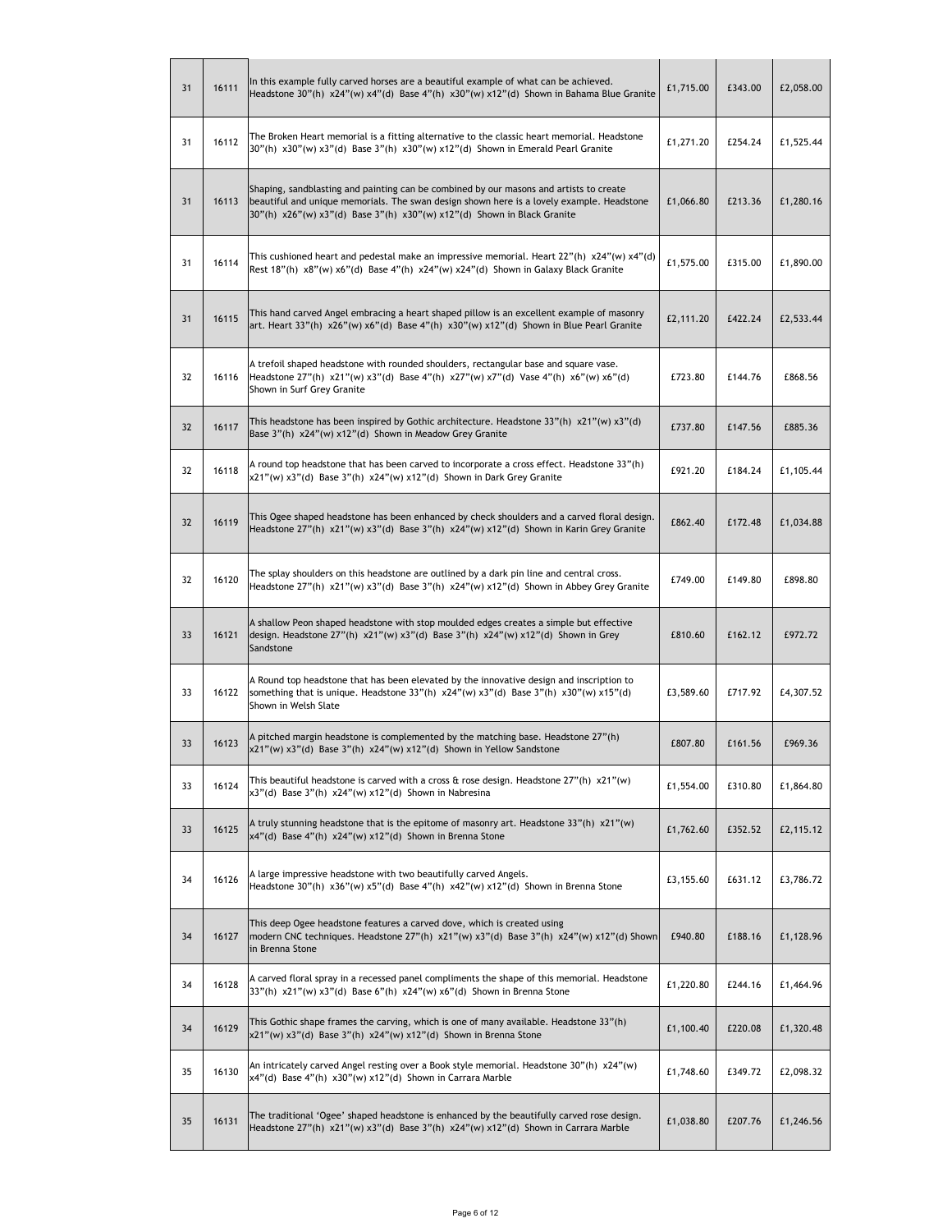| 31 | 16111 | In this example fully carved horses are a beautiful example of what can be achieved.<br>Headstone 30"(h) $x24"$ (w) $x4"$ (d) Base 4"(h) $x30"$ (w) $x12"$ (d) Shown in Bahama Blue Granite                                                                    | £1,715.00 | £343.00 | £2,058.00 |
|----|-------|----------------------------------------------------------------------------------------------------------------------------------------------------------------------------------------------------------------------------------------------------------------|-----------|---------|-----------|
| 31 | 16112 | The Broken Heart memorial is a fitting alternative to the classic heart memorial. Headstone<br>30"(h) x30"(w) x3"(d) Base 3"(h) x30"(w) x12"(d) Shown in Emerald Pearl Granite                                                                                 | £1,271.20 | £254.24 | £1,525.44 |
| 31 | 16113 | Shaping, sandblasting and painting can be combined by our masons and artists to create<br>beautiful and unique memorials. The swan design shown here is a lovely example. Headstone<br>30"(h) x26"(w) x3"(d) Base 3"(h) x30"(w) x12"(d) Shown in Black Granite | £1,066.80 | £213.36 | £1,280.16 |
| 31 | 16114 | This cushioned heart and pedestal make an impressive memorial. Heart $22''(h) \times 24''(w) \times 4''(d)$<br>Rest 18"(h) x8"(w) x6"(d) Base 4"(h) x24"(w) x24"(d) Shown in Galaxy Black Granite                                                              | £1,575.00 | £315.00 | £1,890.00 |
| 31 | 16115 | This hand carved Angel embracing a heart shaped pillow is an excellent example of masonry<br>art. Heart 33"(h) x26"(w) x6"(d) Base 4"(h) x30"(w) x12"(d) Shown in Blue Pearl Granite                                                                           | £2,111.20 | £422.24 | £2,533.44 |
| 32 | 16116 | A trefoil shaped headstone with rounded shoulders, rectangular base and square vase.<br>Headstone 27"(h) x21"(w) x3"(d) Base 4"(h) x27"(w) x7"(d) Vase 4"(h) x6"(w) x6"(d)<br>Shown in Surf Grey Granite                                                       | £723.80   | £144.76 | £868.56   |
| 32 | 16117 | This headstone has been inspired by Gothic architecture. Headstone 33"(h) $x21"$ (w) $x3"$ (d)<br>Base 3"(h) x24"(w) x12"(d) Shown in Meadow Grey Granite                                                                                                      | £737.80   | £147.56 | £885.36   |
| 32 | 16118 | A round top headstone that has been carved to incorporate a cross effect. Headstone 33"(h)<br>x21"(w) x3"(d) Base 3"(h) x24"(w) x12"(d) Shown in Dark Grey Granite                                                                                             | £921.20   | £184.24 | £1,105.44 |
| 32 | 16119 | This Ogee shaped headstone has been enhanced by check shoulders and a carved floral design.<br>Headstone $27''(h) \times 21''(w) \times 3''(d)$ Base $3''(h) \times 24''(w) \times 12''(d)$ Shown in Karin Grey Granite                                        | £862.40   | £172.48 | £1,034.88 |
| 32 | 16120 | The splay shoulders on this headstone are outlined by a dark pin line and central cross.<br>Headstone 27"(h) x21"(w) x3"(d) Base 3"(h) x24"(w) x12"(d) Shown in Abbey Grey Granite                                                                             | £749.00   | £149.80 | £898.80   |
| 33 | 16121 | A shallow Peon shaped headstone with stop moulded edges creates a simple but effective<br>design. Headstone 27"(h) x21"(w) x3"(d) Base 3"(h) x24"(w) x12"(d) Shown in Grey<br>Sandstone                                                                        | £810.60   | £162.12 | £972.72   |
| 33 | 16122 | A Round top headstone that has been elevated by the innovative design and inscription to<br>something that is unique. Headstone 33"(h) $x24$ "(w) $x3$ "(d) Base 3"(h) $x30$ "(w) $x15$ "(d)<br>Shown in Welsh Slate                                           | £3,589.60 | £717.92 | £4,307.52 |
| 33 | 16123 | A pitched margin headstone is complemented by the matching base. Headstone 27"(h)<br>x21"(w) x3"(d) Base 3"(h) x24"(w) x12"(d) Shown in Yellow Sandstone                                                                                                       | £807.80   | £161.56 | £969.36   |
| 33 | 16124 | This beautiful headstone is carved with a cross & rose design. Headstone 27"(h) x21"(w)<br>x3"(d) Base 3"(h) x24"(w) x12"(d) Shown in Nabresina                                                                                                                | £1,554.00 | £310.80 | £1,864.80 |
| 33 | 16125 | A truly stunning headstone that is the epitome of masonry art. Headstone 33"(h) x21"(w)<br>x4"(d) Base 4"(h) x24"(w) x12"(d) Shown in Brenna Stone                                                                                                             | £1,762.60 | £352.52 | £2,115.12 |
| 34 | 16126 | A large impressive headstone with two beautifully carved Angels.<br>Headstone 30"(h) $x36''(w) x5''(d)$ Base 4"(h) $x42''(w) x12''(d)$ Shown in Brenna Stone                                                                                                   | £3,155.60 | £631.12 | £3,786.72 |
| 34 | 16127 | This deep Ogee headstone features a carved dove, which is created using<br>modern CNC techniques. Headstone 27"(h) x21"(w) x3"(d) Base 3"(h) x24"(w) x12"(d) Shown<br>in Brenna Stone                                                                          | £940.80   | £188.16 | £1,128.96 |
| 34 | 16128 | A carved floral spray in a recessed panel compliments the shape of this memorial. Headstone<br>33"(h) x21"(w) x3"(d) Base 6"(h) x24"(w) x6"(d) Shown in Brenna Stone                                                                                           | £1,220.80 | £244.16 | £1,464.96 |
| 34 | 16129 | This Gothic shape frames the carving, which is one of many available. Headstone 33"(h)<br>x21"(w) x3"(d) Base 3"(h) x24"(w) x12"(d) Shown in Brenna Stone                                                                                                      | £1,100.40 | £220.08 | £1,320.48 |
| 35 | 16130 | An intricately carved Angel resting over a Book style memorial. Headstone 30"(h) x24"(w)<br>x4"(d) Base 4"(h) x30"(w) x12"(d) Shown in Carrara Marble                                                                                                          | £1,748.60 | £349.72 | £2,098.32 |
| 35 | 16131 | The traditional 'Ogee' shaped headstone is enhanced by the beautifully carved rose design.<br>Headstone 27"(h) x21"(w) x3"(d) Base 3"(h) x24"(w) x12"(d) Shown in Carrara Marble                                                                               | £1,038.80 | £207.76 | £1,246.56 |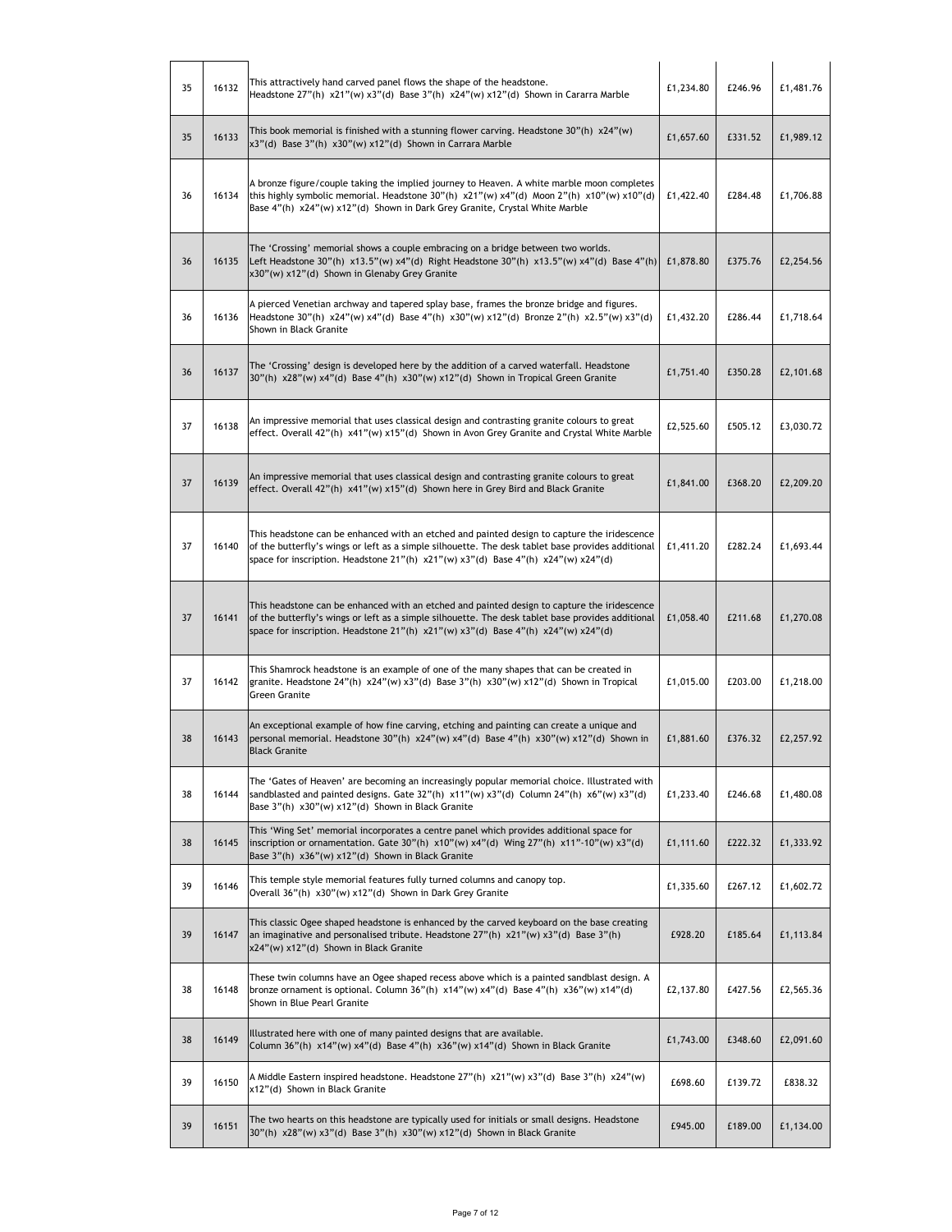| 35 | 16132 | This attractively hand carved panel flows the shape of the headstone.<br>Headstone 27"(h) x21"(w) x3"(d) Base 3"(h) x24"(w) x12"(d) Shown in Cararra Marble                                                                                                                                       | £1,234.80 | £246.96 | £1,481.76 |
|----|-------|---------------------------------------------------------------------------------------------------------------------------------------------------------------------------------------------------------------------------------------------------------------------------------------------------|-----------|---------|-----------|
| 35 | 16133 | This book memorial is finished with a stunning flower carving. Headstone $30"$ (h) $x24"$ (w)<br>x3"(d) Base 3"(h) x30"(w) x12"(d) Shown in Carrara Marble                                                                                                                                        | £1,657.60 | £331.52 | £1,989.12 |
| 36 | 16134 | A bronze figure/couple taking the implied journey to Heaven. A white marble moon completes<br>this highly symbolic memorial. Headstone 30"(h) x21"(w) x4"(d) Moon 2"(h) x10"(w) x10"(d)<br>Base 4"(h) x24"(w) x12"(d) Shown in Dark Grey Granite, Crystal White Marble                            | £1,422.40 | £284.48 | £1,706.88 |
| 36 | 16135 | The 'Crossing' memorial shows a couple embracing on a bridge between two worlds.<br>Left Headstone 30"(h) x13.5"(w) x4"(d) Right Headstone 30"(h) x13.5"(w) x4"(d) Base 4"(h)<br>x30"(w) x12"(d) Shown in Glenaby Grey Granite                                                                    | £1,878.80 | £375.76 | £2,254.56 |
| 36 | 16136 | A pierced Venetian archway and tapered splay base, frames the bronze bridge and figures.<br>Headstone 30"(h) x24"(w) x4"(d) Base 4"(h) x30"(w) x12"(d) Bronze 2"(h) x2.5"(w) x3"(d)<br>Shown in Black Granite                                                                                     | £1,432.20 | £286.44 | £1,718.64 |
| 36 | 16137 | The 'Crossing' design is developed here by the addition of a carved waterfall. Headstone<br>30"(h) x28"(w) x4"(d) Base 4"(h) x30"(w) x12"(d) Shown in Tropical Green Granite                                                                                                                      | £1,751.40 | £350.28 | £2,101.68 |
| 37 | 16138 | An impressive memorial that uses classical design and contrasting granite colours to great<br>effect. Overall 42"(h) x41"(w) x15"(d) Shown in Avon Grey Granite and Crystal White Marble                                                                                                          | £2,525.60 | £505.12 | £3,030.72 |
| 37 | 16139 | An impressive memorial that uses classical design and contrasting granite colours to great<br>effect. Overall 42"(h) x41"(w) x15"(d) Shown here in Grey Bird and Black Granite                                                                                                                    | £1,841.00 | £368.20 | £2,209.20 |
| 37 | 16140 | This headstone can be enhanced with an etched and painted design to capture the iridescence<br>of the butterfly's wings or left as a simple silhouette. The desk tablet base provides additional<br>space for inscription. Headstone 21"(h) x21"(w) x3"(d) Base 4"(h) x24"(w) x24"(d)             | £1,411.20 | £282.24 | £1,693.44 |
| 37 | 16141 | This headstone can be enhanced with an etched and painted design to capture the iridescence<br>of the butterfly's wings or left as a simple silhouette. The desk tablet base provides additional<br>space for inscription. Headstone 21"(h) $x21$ "(w) $x3$ "(d) Base 4"(h) $x24$ "(w) $x24$ "(d) | £1,058.40 | £211.68 | £1,270.08 |
| 37 | 16142 | This Shamrock headstone is an example of one of the many shapes that can be created in<br>granite. Headstone $24''(h) \times 24''(w) \times 3''(d)$ Base $3''(h) \times 30''(w) \times 12''(d)$ Shown in Tropical<br>Green Granite                                                                | £1,015.00 | £203.00 | £1,218.00 |
| 38 | 16143 | An exceptional example of how fine carving, etching and painting can create a unique and<br>personal memorial. Headstone 30"(h) x24"(w) x4"(d) Base 4"(h) x30"(w) x12"(d) Shown in<br>Black Granite                                                                                               | £1,881.60 | £376.32 | £2,257.92 |
| 38 | 16144 | The 'Gates of Heaven' are becoming an increasingly popular memorial choice. Illustrated with<br>sandblasted and painted designs. Gate 32"(h) x11"(w) x3"(d) Column 24"(h) x6"(w) x3"(d)<br>Base 3"(h) x30"(w) x12"(d) Shown in Black Granite                                                      | £1,233.40 | £246.68 | £1,480.08 |
| 38 | 16145 | This 'Wing Set' memorial incorporates a centre panel which provides additional space for<br>inscription or ornamentation. Gate 30"(h) x10"(w) x4"(d) Wing 27"(h) x11"-10"(w) x3"(d)<br>Base 3"(h) x36"(w) x12"(d) Shown in Black Granite                                                          | £1,111.60 | £222.32 | £1,333.92 |
| 39 | 16146 | This temple style memorial features fully turned columns and canopy top.<br>Overall 36"(h) x30"(w) x12"(d) Shown in Dark Grey Granite                                                                                                                                                             | £1,335.60 | £267.12 | £1,602.72 |
| 39 | 16147 | This classic Ogee shaped headstone is enhanced by the carved keyboard on the base creating<br>an imaginative and personalised tribute. Headstone $27''(h) \times 21''(w) \times 3''(d)$ Base 3"(h)<br>x24"(w) x12"(d) Shown in Black Granite                                                      | £928.20   | £185.64 | £1,113.84 |
| 38 | 16148 | These twin columns have an Ogee shaped recess above which is a painted sandblast design. A<br>bronze ornament is optional. Column $36''(h) \times 14''(w) \times 4''(d)$ Base $4''(h) \times 36''(w) \times 14''(d)$<br>Shown in Blue Pearl Granite                                               | £2,137.80 | £427.56 | £2,565.36 |
| 38 | 16149 | Illustrated here with one of many painted designs that are available.<br>Column 36"(h) x14"(w) x4"(d) Base 4"(h) x36"(w) x14"(d) Shown in Black Granite                                                                                                                                           | £1,743.00 | £348.60 | £2,091.60 |
| 39 | 16150 | A Middle Eastern inspired headstone. Headstone $27''(h) \times 21''(w) \times 3''(d)$ Base 3"(h) $\times 24''(w)$<br>x12"(d) Shown in Black Granite                                                                                                                                               | £698.60   | £139.72 | £838.32   |
| 39 | 16151 | The two hearts on this headstone are typically used for initials or small designs. Headstone<br>30"(h) x28"(w) x3"(d) Base 3"(h) x30"(w) x12"(d) Shown in Black Granite                                                                                                                           | £945.00   | £189.00 | £1,134.00 |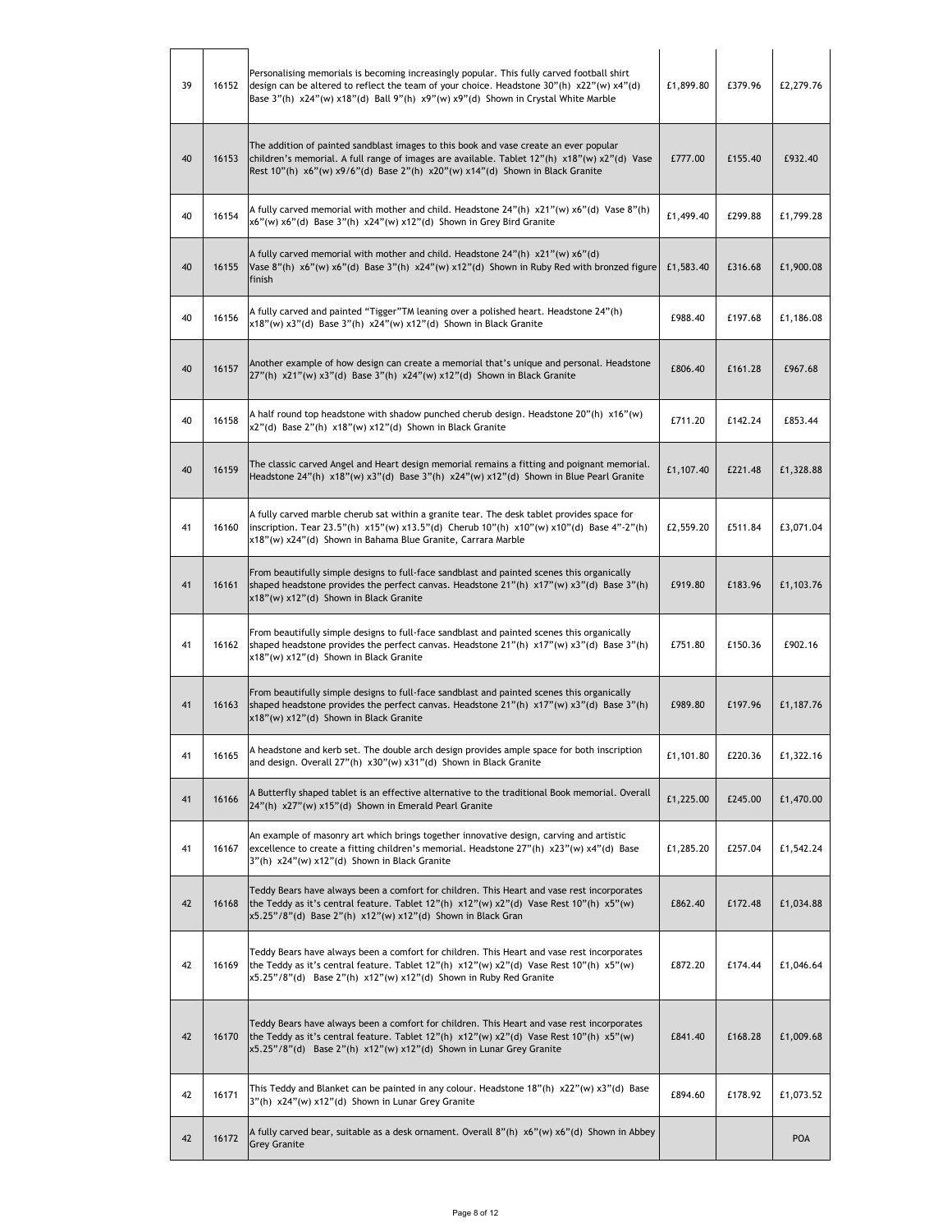| 39 | 16152 | Personalising memorials is becoming increasingly popular. This fully carved football shirt<br>design can be altered to reflect the team of your choice. Headstone $30''(h) \times 22''(w) \times 4''(d)$<br>Base 3"(h) x24"(w) x18"(d) Ball 9"(h) x9"(w) x9"(d) Shown in Crystal White Marble | £1,899.80 | £379.96 | £2,279.76 |
|----|-------|-----------------------------------------------------------------------------------------------------------------------------------------------------------------------------------------------------------------------------------------------------------------------------------------------|-----------|---------|-----------|
| 40 | 16153 | The addition of painted sandblast images to this book and vase create an ever popular<br>children's memorial. A full range of images are available. Tablet $12''(h) \times 18''(w) \times 2''(d)$ Vase<br>Rest 10"(h) x6"(w) x9/6"(d) Base 2"(h) x20"(w) x14"(d) Shown in Black Granite       | £777.00   | £155.40 | £932.40   |
| 40 | 16154 | A fully carved memorial with mother and child. Headstone $24''(h) \times 21''(w) \times 6''(d)$ Vase $8''(h)$<br>x6"(w) x6"(d) Base 3"(h) x24"(w) x12"(d) Shown in Grey Bird Granite                                                                                                          | £1,499.40 | £299.88 | £1,799.28 |
| 40 | 16155 | A fully carved memorial with mother and child. Headstone 24"(h) x21"(w) x6"(d)<br>Vase 8"(h) x6"(w) x6"(d) Base 3"(h) x24"(w) x12"(d) Shown in Ruby Red with bronzed figure<br>finish                                                                                                         | £1,583.40 | £316.68 | £1,900.08 |
| 40 | 16156 | A fully carved and painted "Tigger"TM leaning over a polished heart. Headstone 24"(h)<br>x18"(w) x3"(d) Base 3"(h) x24"(w) x12"(d) Shown in Black Granite                                                                                                                                     | £988.40   | £197.68 | £1,186.08 |
| 40 | 16157 | Another example of how design can create a memorial that's unique and personal. Headstone<br>$27''(h)$ x21"(w) x3"(d) Base 3"(h) x24"(w) x12"(d) Shown in Black Granite                                                                                                                       | £806.40   | £161.28 | £967.68   |
| 40 | 16158 | A half round top headstone with shadow punched cherub design. Headstone $20"$ (h) $x16"$ (w)<br>x2"(d) Base 2"(h) x18"(w) x12"(d) Shown in Black Granite                                                                                                                                      | £711.20   | £142.24 | £853.44   |
| 40 | 16159 | The classic carved Angel and Heart design memorial remains a fitting and poignant memorial.<br>Headstone 24"(h) x18"(w) x3"(d) Base 3"(h) x24"(w) x12"(d) Shown in Blue Pearl Granite                                                                                                         | £1,107.40 | £221.48 | £1,328.88 |
| 41 | 16160 | A fully carved marble cherub sat within a granite tear. The desk tablet provides space for<br>inscription. Tear 23.5"(h) x15"(w) x13.5"(d) Cherub 10"(h) x10"(w) x10"(d) Base 4"-2"(h)<br>x18"(w) x24"(d) Shown in Bahama Blue Granite, Carrara Marble                                        | £2,559.20 | £511.84 | £3,071.04 |
| 41 | 16161 | From beautifully simple designs to full-face sandblast and painted scenes this organically<br>shaped headstone provides the perfect canvas. Headstone $21''(h) \times 17''(w) \times 3''(d)$ Base $3''(h)$<br>x18"(w) x12"(d) Shown in Black Granite                                          | £919.80   | £183.96 | £1,103.76 |
| 41 | 16162 | From beautifully simple designs to full-face sandblast and painted scenes this organically<br>shaped headstone provides the perfect canvas. Headstone $21''(h) \times 17''(w) \times 3''(d)$ Base 3"(h)<br>x18"(w) x12"(d) Shown in Black Granite                                             | £751.80   | £150.36 | £902.16   |
| 41 | 16163 | From beautifully simple designs to full-face sandblast and painted scenes this organically<br>shaped headstone provides the perfect canvas. Headstone 21"(h) $x17''(w) x3''(d)$ Base 3"(h)<br>x18"(w) x12"(d) Shown in Black Granite                                                          | £989.80   | £197.96 | £1,187.76 |
| 41 | 16165 | A headstone and kerb set. The double arch design provides ample space for both inscription<br>and design. Overall 27"(h) x30"(w) x31"(d) Shown in Black Granite                                                                                                                               | £1,101.80 | £220.36 | £1,322.16 |
| 41 | 16166 | A Butterfly shaped tablet is an effective alternative to the traditional Book memorial. Overall<br>24"(h) x27"(w) x15"(d) Shown in Emerald Pearl Granite                                                                                                                                      | £1,225.00 | £245.00 | £1,470.00 |
| 41 | 16167 | An example of masonry art which brings together innovative design, carving and artistic<br>excellence to create a fitting children's memorial. Headstone 27"(h) x23"(w) x4"(d) Base<br>3"(h) x24"(w) x12"(d) Shown in Black Granite                                                           | £1,285.20 | £257.04 | £1,542.24 |
| 42 | 16168 | Teddy Bears have always been a comfort for children. This Heart and vase rest incorporates<br>the Teddy as it's central feature. Tablet $12''(h) \times 12''(w) \times 2''(d)$ Vase Rest $10''(h) \times 5''(w)$<br>x5.25"/8"(d) Base 2"(h) x12"(w) x12"(d) Shown in Black Gran               | £862.40   | £172.48 | £1,034.88 |
| 42 | 16169 | Teddy Bears have always been a comfort for children. This Heart and vase rest incorporates<br>the Teddy as it's central feature. Tablet $12''(h) \times 12''(w) \times 2''(d)$ Vase Rest $10''(h) \times 5''(w)$<br>x5.25"/8"(d) Base 2"(h) x12"(w) x12"(d) Shown in Ruby Red Granite         | £872.20   | £174.44 | £1,046.64 |
| 42 | 16170 | Teddy Bears have always been a comfort for children. This Heart and vase rest incorporates<br>the Teddy as it's central feature. Tablet $12''(h) \times 12''(w) \times 2''(d)$ Vase Rest $10''(h) \times 5''(w)$<br>x5.25"/8"(d) Base 2"(h) x12"(w) x12"(d) Shown in Lunar Grey Granite       | £841.40   | £168.28 | £1,009.68 |
| 42 | 16171 | This Teddy and Blanket can be painted in any colour. Headstone 18"(h) x22"(w) x3"(d) Base<br>3"(h) x24"(w) x12"(d) Shown in Lunar Grey Granite                                                                                                                                                | £894.60   | £178.92 | £1,073.52 |
| 42 | 16172 | A fully carved bear, suitable as a desk ornament. Overall 8"(h) x6"(w) x6"(d) Shown in Abbey<br><b>Grey Granite</b>                                                                                                                                                                           |           |         | POA       |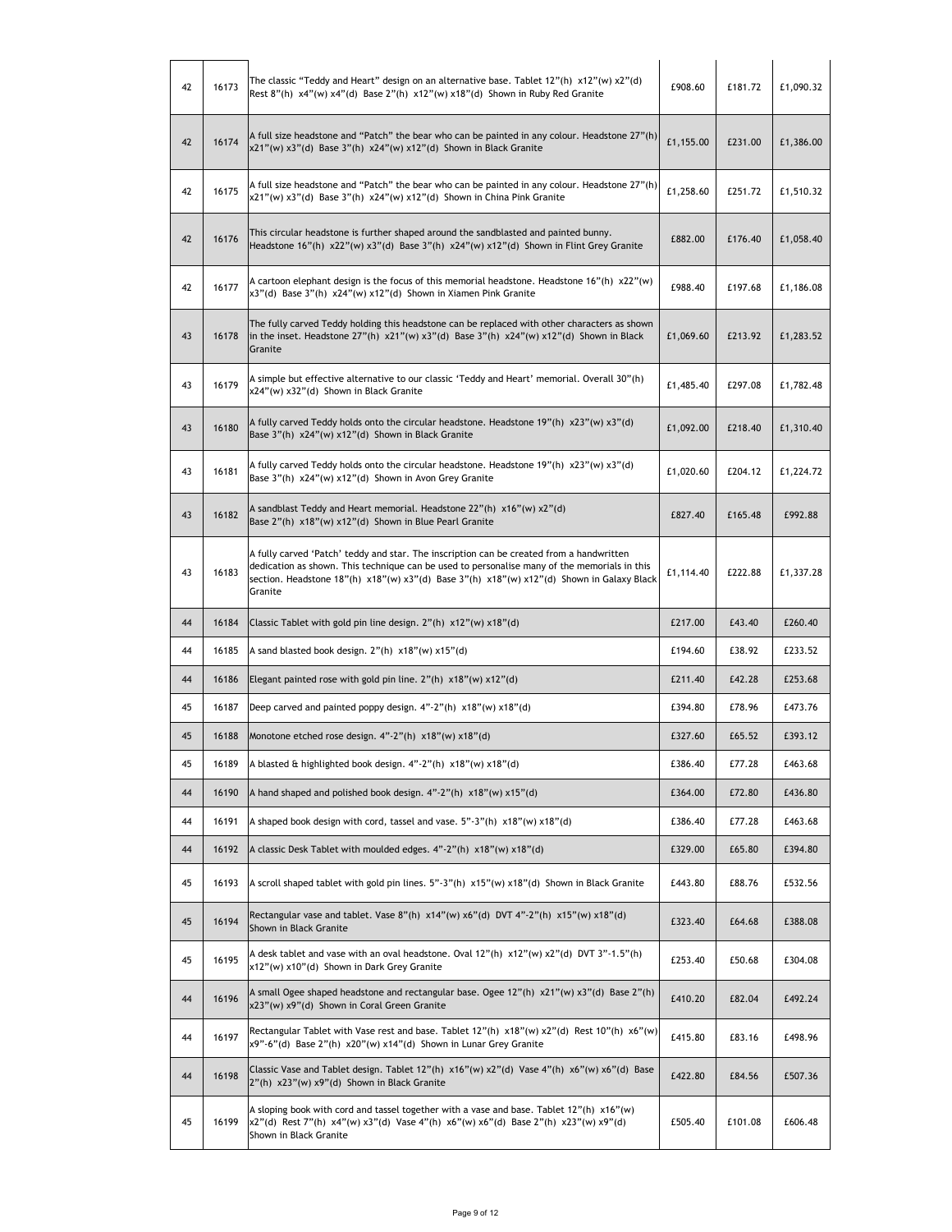| 42 | 16173 | The classic "Teddy and Heart" design on an alternative base. Tablet $12''(h) \times 12''(w) \times 2''(d)$<br>Rest 8"(h) x4"(w) x4"(d) Base 2"(h) x12"(w) x18"(d) Shown in Ruby Red Granite                                                                                                      | £908.60   | £181.72 | £1,090.32 |
|----|-------|--------------------------------------------------------------------------------------------------------------------------------------------------------------------------------------------------------------------------------------------------------------------------------------------------|-----------|---------|-----------|
| 42 | 16174 | A full size headstone and "Patch" the bear who can be painted in any colour. Headstone 27"(h)<br>x21"(w) x3"(d) Base 3"(h) x24"(w) x12"(d) Shown in Black Granite                                                                                                                                | £1,155.00 | £231.00 | £1,386.00 |
| 42 | 16175 | A full size headstone and "Patch" the bear who can be painted in any colour. Headstone 27"(h)<br>x21"(w) x3"(d) Base 3"(h) x24"(w) x12"(d) Shown in China Pink Granite                                                                                                                           | £1,258.60 | £251.72 | £1,510.32 |
| 42 | 16176 | This circular headstone is further shaped around the sandblasted and painted bunny.<br>Headstone 16"(h) x22"(w) x3"(d) Base 3"(h) x24"(w) x12"(d) Shown in Flint Grey Granite                                                                                                                    | £882.00   | £176.40 | £1,058.40 |
| 42 | 16177 | A cartoon elephant design is the focus of this memorial headstone. Headstone $16''(h) \times 22''(w)$<br>x3"(d) Base 3"(h) x24"(w) x12"(d) Shown in Xiamen Pink Granite                                                                                                                          | £988.40   | £197.68 | £1,186.08 |
| 43 | 16178 | The fully carved Teddy holding this headstone can be replaced with other characters as shown<br>in the inset. Headstone $27''(h) \times 21''(w) \times 3''(d)$ Base $3''(h) \times 24''(w) \times 12''(d)$ Shown in Black<br>Granite                                                             | £1,069.60 | £213.92 | £1,283.52 |
| 43 | 16179 | A simple but effective alternative to our classic 'Teddy and Heart' memorial. Overall 30"(h)<br>x24"(w) x32"(d) Shown in Black Granite                                                                                                                                                           | £1,485.40 | £297.08 | £1,782.48 |
| 43 | 16180 | A fully carved Teddy holds onto the circular headstone. Headstone 19"(h) x23"(w) x3"(d)<br>Base 3"(h) x24"(w) x12"(d) Shown in Black Granite                                                                                                                                                     | £1,092.00 | £218.40 | £1,310.40 |
| 43 | 16181 | A fully carved Teddy holds onto the circular headstone. Headstone $19''(h) \times 23''(w) \times 3''(d)$<br>Base 3"(h) x24"(w) x12"(d) Shown in Avon Grey Granite                                                                                                                                | £1,020.60 | £204.12 | £1,224.72 |
| 43 | 16182 | A sandblast Teddy and Heart memorial. Headstone 22"(h) x16"(w) x2"(d)<br>Base 2"(h) x18"(w) x12"(d) Shown in Blue Pearl Granite                                                                                                                                                                  | £827.40   | £165.48 | £992.88   |
| 43 | 16183 | A fully carved 'Patch' teddy and star. The inscription can be created from a handwritten<br>dedication as shown. This technique can be used to personalise many of the memorials in this<br>section. Headstone 18"(h) x18"(w) x3"(d) Base 3"(h) x18"(w) x12"(d) Shown in Galaxy Black<br>Granite | £1,114.40 | £222.88 | £1,337.28 |
|    |       |                                                                                                                                                                                                                                                                                                  |           |         |           |
| 44 | 16184 | Classic Tablet with gold pin line design. 2"(h) x12"(w) x18"(d)                                                                                                                                                                                                                                  | £217.00   | £43.40  | £260.40   |
| 44 | 16185 | A sand blasted book design. $2''(h) \times 18''(w) \times 15''(d)$                                                                                                                                                                                                                               | £194.60   | £38.92  | £233.52   |
| 44 | 16186 | Elegant painted rose with gold pin line. $2''(h) \times 18''(w) \times 12''(d)$                                                                                                                                                                                                                  | £211.40   | £42.28  | £253.68   |
| 45 | 16187 | Deep carved and painted poppy design. $4" - 2"$ (h) $x18"$ (w) $x18"$ (d)                                                                                                                                                                                                                        | £394.80   | £78.96  | £473.76   |
| 45 | 16188 | Monotone etched rose design. $4" - 2"$ (h) $x18"$ (w) $x18"$ (d)                                                                                                                                                                                                                                 | £327.60   | £65.52  | £393.12   |
| 45 | 16189 | A blasted & highlighted book design. 4"-2"(h) x18"(w) x18"(d)                                                                                                                                                                                                                                    | £386.40   | £77.28  | £463.68   |
| 44 | 16190 | A hand shaped and polished book design. $4" - 2"$ (h) $x18"$ (w) $x15"$ (d)                                                                                                                                                                                                                      | £364.00   | £72.80  | £436.80   |
| 44 | 16191 | A shaped book design with cord, tassel and vase. $5"$ -3"(h) $x18"$ (w) $x18"$ (d)                                                                                                                                                                                                               | £386.40   | £77.28  | £463.68   |
| 44 | 16192 | A classic Desk Tablet with moulded edges. 4"-2"(h) x18"(w) x18"(d)                                                                                                                                                                                                                               | £329.00   | £65.80  | £394.80   |
| 45 | 16193 | A scroll shaped tablet with gold pin lines. $5 - 3$ "(h) $x15$ "(w) $x18$ "(d) Shown in Black Granite                                                                                                                                                                                            | £443.80   | £88.76  | £532.56   |
| 45 | 16194 | Rectangular vase and tablet. Vase $8''(h) \times 14''(w) \times 6''(d)$ DVT $4''\cdot 2''(h) \times 15''(w) \times 18''(d)$<br>Shown in Black Granite                                                                                                                                            | £323.40   | £64.68  | £388.08   |
| 45 | 16195 | A desk tablet and vase with an oval headstone. Oval 12"(h) x12"(w) x2"(d) DVT 3"-1.5"(h)<br>x12"(w) x10"(d) Shown in Dark Grey Granite                                                                                                                                                           | £253.40   | £50.68  | £304.08   |
| 44 | 16196 | A small Ogee shaped headstone and rectangular base. Ogee $12''(h) \times 21''(w) \times 3''(d)$ Base 2"(h)<br>x23"(w) x9"(d) Shown in Coral Green Granite                                                                                                                                        | £410.20   | £82.04  | £492.24   |
| 44 | 16197 | Rectangular Tablet with Vase rest and base. Tablet 12"(h) x18"(w) x2"(d) Rest 10"(h) x6"(w)<br>x9"-6"(d) Base 2"(h) x20"(w) x14"(d) Shown in Lunar Grey Granite                                                                                                                                  | £415.80   | £83.16  | £498.96   |
| 44 | 16198 | Classic Vase and Tablet design. Tablet $12''(h) \times 16''(w) \times 2''(d)$ Vase $4''(h) \times 6''(w) \times 6''(d)$ Base<br>2"(h) x23"(w) x9"(d) Shown in Black Granite                                                                                                                      | £422.80   | £84.56  | £507.36   |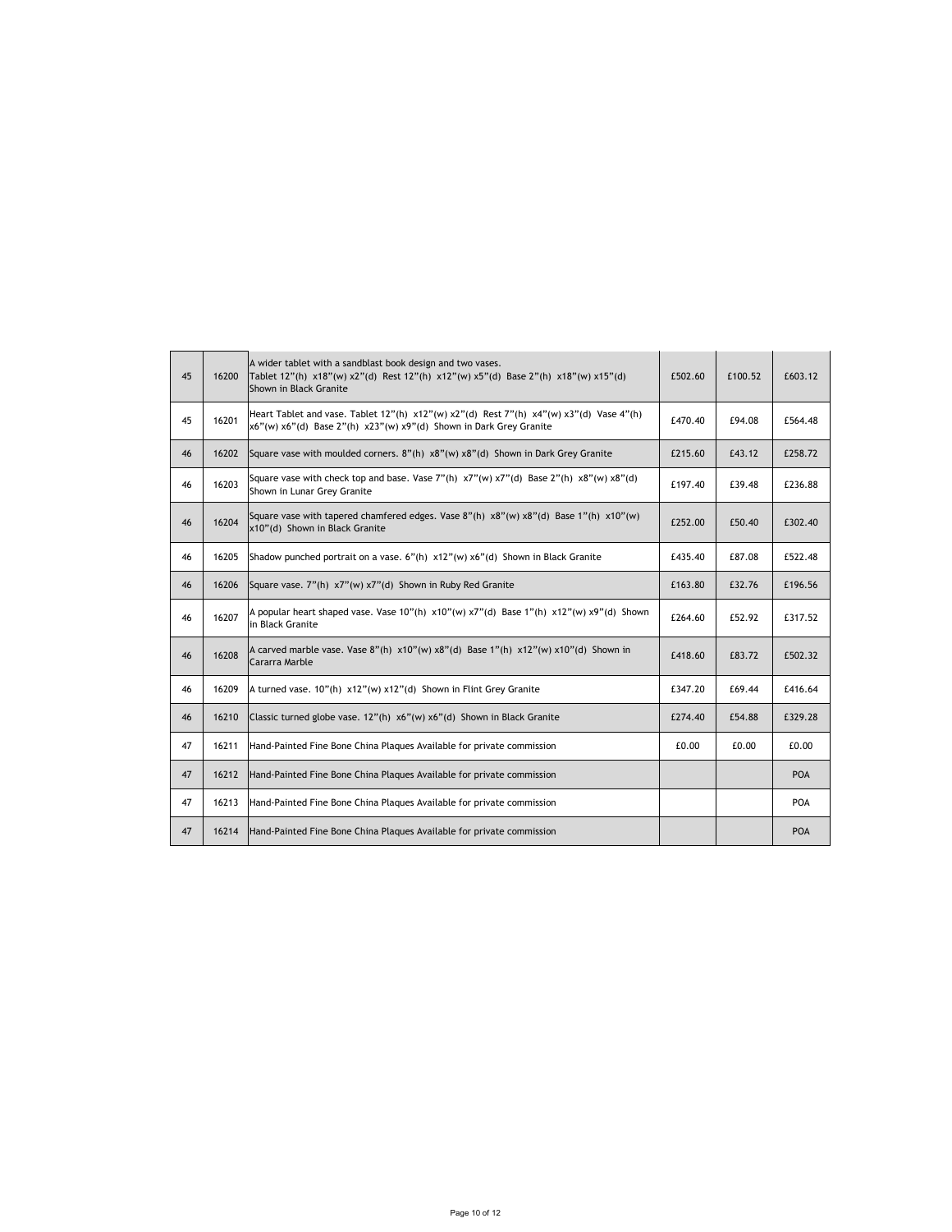| 45 | 16200 | A wider tablet with a sandblast book design and two vases.<br>Tablet 12"(h) x18"(w) x2"(d) Rest 12"(h) x12"(w) x5"(d) Base 2"(h) x18"(w) x15"(d)<br>Shown in Black Granite                         | £502.60 | £100.52 | £603.12    |
|----|-------|----------------------------------------------------------------------------------------------------------------------------------------------------------------------------------------------------|---------|---------|------------|
| 45 | 16201 | Heart Tablet and vase. Tablet $12''(h) \times 12''(w) \times 2''(d)$ Rest $7''(h) \times 4''(w) \times 3''(d)$ Vase $4''(h)$<br>x6"(w) x6"(d) Base 2"(h) x23"(w) x9"(d) Shown in Dark Grey Granite | £470.40 | £94.08  | £564.48    |
| 46 | 16202 | Square vase with moulded corners. 8"(h) x8"(w) x8"(d) Shown in Dark Grey Granite                                                                                                                   | £215.60 | £43.12  | £258.72    |
| 46 | 16203 | Square vase with check top and base. Vase 7"(h) $x7''(w) x7''(d)$ Base 2"(h) $x8''(w) x8''(d)$<br>Shown in Lunar Grey Granite                                                                      | £197.40 | £39.48  | £236.88    |
| 46 | 16204 | Square vase with tapered chamfered edges. Vase 8"(h) $\times$ 8"(w) $\times$ 8"(d) Base 1"(h) $\times$ 10"(w)<br>x10"(d) Shown in Black Granite                                                    | £252.00 | £50.40  | £302.40    |
| 46 | 16205 | Shadow punched portrait on a vase. $6''(h) \times 12''(w) \times 6''(d)$ Shown in Black Granite                                                                                                    | £435.40 | £87.08  | £522.48    |
| 46 | 16206 | Square vase. 7"(h) x7"(w) x7"(d) Shown in Ruby Red Granite                                                                                                                                         | £163.80 | £32.76  | £196.56    |
| 46 | 16207 | A popular heart shaped vase. Vase 10"(h) x10"(w) x7"(d) Base 1"(h) x12"(w) x9"(d) Shown<br>in Black Granite                                                                                        | £264.60 | £52.92  | £317.52    |
| 46 | 16208 | A carved marble vase. Vase $8''(h) \times 10''(w) \times 8''(d)$ Base 1"(h) $\times 12''(w) \times 10''(d)$ Shown in<br>Cararra Marble                                                             | £418.60 | £83.72  | £502.32    |
| 46 | 16209 | A turned vase. 10"(h) x12"(w) x12"(d) Shown in Flint Grey Granite                                                                                                                                  | £347.20 | £69.44  | £416.64    |
| 46 | 16210 | Classic turned globe vase. 12"(h) x6"(w) x6"(d) Shown in Black Granite                                                                                                                             | £274.40 | £54.88  | £329.28    |
| 47 | 16211 | Hand-Painted Fine Bone China Plagues Available for private commission                                                                                                                              | £0.00   | £0.00   | £0.00      |
| 47 | 16212 | Hand-Painted Fine Bone China Plagues Available for private commission                                                                                                                              |         |         | <b>POA</b> |
| 47 | 16213 | Hand-Painted Fine Bone China Plaques Available for private commission                                                                                                                              |         |         | POA        |
| 47 | 16214 | Hand-Painted Fine Bone China Plaques Available for private commission                                                                                                                              |         |         | <b>POA</b> |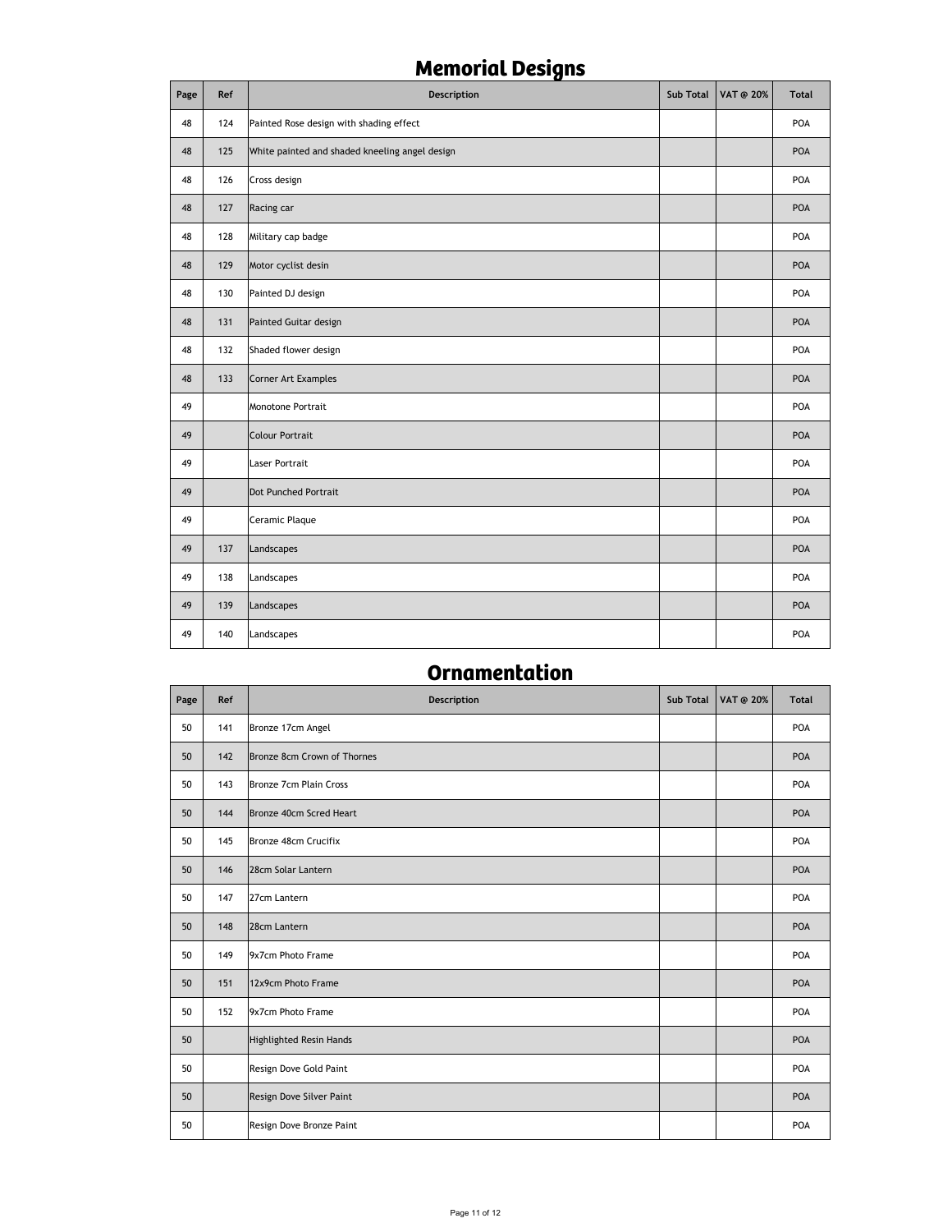# **Memorial Designs**

| Page | Ref | Description                                    | Sub Total | VAT @ 20% | <b>Total</b> |
|------|-----|------------------------------------------------|-----------|-----------|--------------|
| 48   | 124 | Painted Rose design with shading effect        |           |           | POA          |
| 48   | 125 | White painted and shaded kneeling angel design |           |           | POA          |
| 48   | 126 | Cross design                                   |           |           | POA          |
| 48   | 127 | Racing car                                     |           |           | POA          |
| 48   | 128 | Military cap badge                             |           |           | POA          |
| 48   | 129 | Motor cyclist desin                            |           |           | POA          |
| 48   | 130 | Painted DJ design                              |           |           | POA          |
| 48   | 131 | Painted Guitar design                          |           |           | POA          |
| 48   | 132 | Shaded flower design                           |           |           | POA          |
| 48   | 133 | Corner Art Examples                            |           |           | POA          |
| 49   |     | Monotone Portrait                              |           |           | POA          |
| 49   |     | <b>Colour Portrait</b>                         |           |           | POA          |
| 49   |     | <b>Laser Portrait</b>                          |           |           | POA          |
| 49   |     | <b>Dot Punched Portrait</b>                    |           |           | POA          |
| 49   |     | Ceramic Plaque                                 |           |           | POA          |
| 49   | 137 | Landscapes                                     |           |           | POA          |
| 49   | 138 | Landscapes                                     |           |           | POA          |
| 49   | 139 | Landscapes                                     |           |           | POA          |
| 49   | 140 | Landscapes                                     |           |           | POA          |

## **Ornamentation**

| Page | Ref | Description                    | Sub Total | <b>VAT @ 20%</b> | <b>Total</b> |
|------|-----|--------------------------------|-----------|------------------|--------------|
| 50   | 141 | Bronze 17cm Angel              |           |                  | POA          |
| 50   | 142 | Bronze 8cm Crown of Thornes    |           |                  | POA          |
| 50   | 143 | Bronze 7cm Plain Cross         |           |                  | POA          |
| 50   | 144 | Bronze 40cm Scred Heart        |           |                  | POA          |
| 50   | 145 | Bronze 48cm Crucifix           |           |                  | POA          |
| 50   | 146 | 28cm Solar Lantern             |           |                  | POA          |
| 50   | 147 | 27cm Lantern                   |           |                  | POA          |
| 50   | 148 | 28cm Lantern                   |           |                  | POA          |
| 50   | 149 | 9x7cm Photo Frame              |           |                  | POA          |
| 50   | 151 | 12x9cm Photo Frame             |           |                  | POA          |
| 50   | 152 | 9x7cm Photo Frame              |           |                  | POA          |
| 50   |     | <b>Highlighted Resin Hands</b> |           |                  | POA          |
| 50   |     | Resign Dove Gold Paint         |           |                  | POA          |
| 50   |     | Resign Dove Silver Paint       |           |                  | POA          |
| 50   |     | Resign Dove Bronze Paint       |           |                  | POA          |